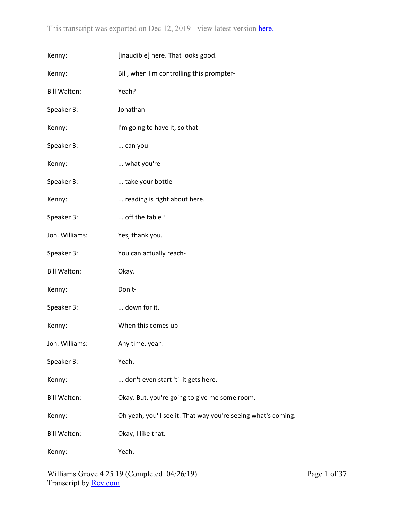| Kenny:              | [inaudible] here. That looks good.                            |
|---------------------|---------------------------------------------------------------|
| Kenny:              | Bill, when I'm controlling this prompter-                     |
| <b>Bill Walton:</b> | Yeah?                                                         |
| Speaker 3:          | Jonathan-                                                     |
| Kenny:              | I'm going to have it, so that-                                |
| Speaker 3:          | can you-                                                      |
| Kenny:              | what you're-                                                  |
| Speaker 3:          | take your bottle-                                             |
| Kenny:              | reading is right about here.                                  |
| Speaker 3:          | off the table?                                                |
| Jon. Williams:      | Yes, thank you.                                               |
| Speaker 3:          | You can actually reach-                                       |
| <b>Bill Walton:</b> | Okay.                                                         |
| Kenny:              | Don't-                                                        |
| Speaker 3:          | down for it.                                                  |
| Kenny:              | When this comes up-                                           |
| Jon. Williams:      | Any time, yeah.                                               |
| Speaker 3:          | Yeah.                                                         |
| Kenny:              | don't even start 'til it gets here.                           |
| <b>Bill Walton:</b> | Okay. But, you're going to give me some room.                 |
| Kenny:              | Oh yeah, you'll see it. That way you're seeing what's coming. |
| <b>Bill Walton:</b> | Okay, I like that.                                            |
| Kenny:              | Yeah.                                                         |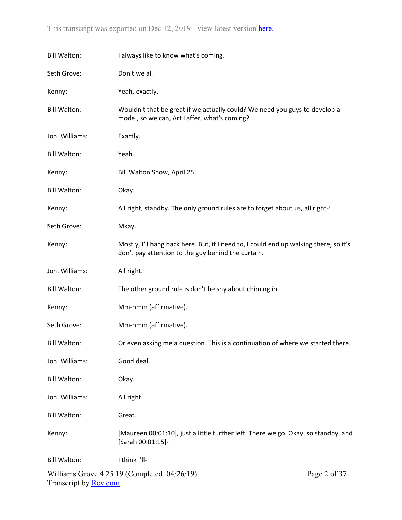| <b>Bill Walton:</b>          | I always like to know what's coming.                                                                                                        |              |
|------------------------------|---------------------------------------------------------------------------------------------------------------------------------------------|--------------|
| Seth Grove:                  | Don't we all.                                                                                                                               |              |
| Kenny:                       | Yeah, exactly.                                                                                                                              |              |
| <b>Bill Walton:</b>          | Wouldn't that be great if we actually could? We need you guys to develop a<br>model, so we can, Art Laffer, what's coming?                  |              |
| Jon. Williams:               | Exactly.                                                                                                                                    |              |
| <b>Bill Walton:</b>          | Yeah.                                                                                                                                       |              |
| Kenny:                       | Bill Walton Show, April 25.                                                                                                                 |              |
| <b>Bill Walton:</b>          | Okay.                                                                                                                                       |              |
| Kenny:                       | All right, standby. The only ground rules are to forget about us, all right?                                                                |              |
| Seth Grove:                  | Mkay.                                                                                                                                       |              |
| Kenny:                       | Mostly, I'll hang back here. But, if I need to, I could end up walking there, so it's<br>don't pay attention to the guy behind the curtain. |              |
| Jon. Williams:               | All right.                                                                                                                                  |              |
| <b>Bill Walton:</b>          | The other ground rule is don't be shy about chiming in.                                                                                     |              |
| Kenny:                       | Mm-hmm (affirmative).                                                                                                                       |              |
| Seth Grove:                  | Mm-hmm (affirmative).                                                                                                                       |              |
| <b>Bill Walton:</b>          | Or even asking me a question. This is a continuation of where we started there                                                              |              |
| Jon. Williams:               | Good deal.                                                                                                                                  |              |
| <b>Bill Walton:</b>          | Okay.                                                                                                                                       |              |
| Jon. Williams:               | All right.                                                                                                                                  |              |
| <b>Bill Walton:</b>          | Great.                                                                                                                                      |              |
| Kenny:                       | [Maureen 00:01:10], just a little further left. There we go. Okay, so standby, and<br>[Sarah 00:01:15]-                                     |              |
| <b>Bill Walton:</b>          | I think I'll-                                                                                                                               |              |
| Transcript by <b>Rev.com</b> | Williams Grove $4\,25\,19$ (Completed $04/26/19$ )                                                                                          | Page 2 of 37 |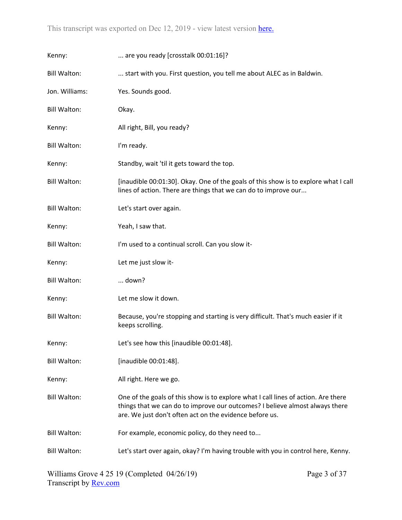| Kenny:              | are you ready [crosstalk 00:01:16]?                                                                                                                                                                                           |
|---------------------|-------------------------------------------------------------------------------------------------------------------------------------------------------------------------------------------------------------------------------|
| <b>Bill Walton:</b> | start with you. First question, you tell me about ALEC as in Baldwin.                                                                                                                                                         |
| Jon. Williams:      | Yes. Sounds good.                                                                                                                                                                                                             |
| <b>Bill Walton:</b> | Okay.                                                                                                                                                                                                                         |
| Kenny:              | All right, Bill, you ready?                                                                                                                                                                                                   |
| <b>Bill Walton:</b> | I'm ready.                                                                                                                                                                                                                    |
| Kenny:              | Standby, wait 'til it gets toward the top.                                                                                                                                                                                    |
| <b>Bill Walton:</b> | [inaudible 00:01:30]. Okay. One of the goals of this show is to explore what I call<br>lines of action. There are things that we can do to improve our                                                                        |
| <b>Bill Walton:</b> | Let's start over again.                                                                                                                                                                                                       |
| Kenny:              | Yeah, I saw that.                                                                                                                                                                                                             |
| <b>Bill Walton:</b> | I'm used to a continual scroll. Can you slow it-                                                                                                                                                                              |
|                     |                                                                                                                                                                                                                               |
| Kenny:              | Let me just slow it-                                                                                                                                                                                                          |
| <b>Bill Walton:</b> | down?                                                                                                                                                                                                                         |
| Kenny:              | Let me slow it down.                                                                                                                                                                                                          |
| <b>Bill Walton:</b> | Because, you're stopping and starting is very difficult. That's much easier if it<br>keeps scrolling.                                                                                                                         |
| Kenny:              | Let's see how this [inaudible 00:01:48].                                                                                                                                                                                      |
| <b>Bill Walton:</b> | [inaudible 00:01:48].                                                                                                                                                                                                         |
| Kenny:              | All right. Here we go.                                                                                                                                                                                                        |
| <b>Bill Walton:</b> | One of the goals of this show is to explore what I call lines of action. Are there<br>things that we can do to improve our outcomes? I believe almost always there<br>are. We just don't often act on the evidence before us. |
| <b>Bill Walton:</b> | For example, economic policy, do they need to                                                                                                                                                                                 |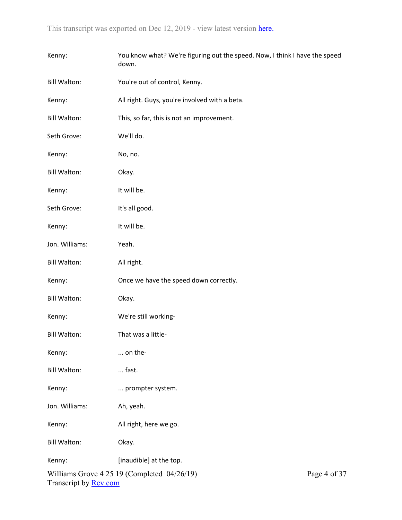| Kenny:                       | You know what? We're figuring out the speed. Now, I think I have the speed<br>down. |              |
|------------------------------|-------------------------------------------------------------------------------------|--------------|
| <b>Bill Walton:</b>          | You're out of control, Kenny.                                                       |              |
| Kenny:                       | All right. Guys, you're involved with a beta.                                       |              |
| <b>Bill Walton:</b>          | This, so far, this is not an improvement.                                           |              |
| Seth Grove:                  | We'll do.                                                                           |              |
| Kenny:                       | No, no.                                                                             |              |
| <b>Bill Walton:</b>          | Okay.                                                                               |              |
| Kenny:                       | It will be.                                                                         |              |
| Seth Grove:                  | It's all good.                                                                      |              |
| Kenny:                       | It will be.                                                                         |              |
| Jon. Williams:               | Yeah.                                                                               |              |
| <b>Bill Walton:</b>          | All right.                                                                          |              |
| Kenny:                       | Once we have the speed down correctly.                                              |              |
| <b>Bill Walton:</b>          | Okay.                                                                               |              |
| Kenny:                       | We're still working-                                                                |              |
| <b>Bill Walton:</b>          | That was a little-                                                                  |              |
| Kenny:                       | on the-                                                                             |              |
| <b>Bill Walton:</b>          | fast.                                                                               |              |
| Kenny:                       | prompter system.                                                                    |              |
| Jon. Williams:               | Ah, yeah.                                                                           |              |
| Kenny:                       | All right, here we go.                                                              |              |
| <b>Bill Walton:</b>          | Okay.                                                                               |              |
| Kenny:                       | [inaudible] at the top.                                                             |              |
| Transcript by <b>Rev.com</b> | Williams Grove $4\,25\,19$ (Completed $04/26/19$ )                                  | Page 4 of 37 |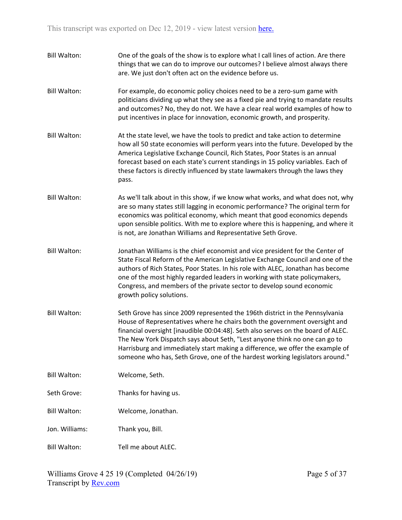Bill Walton: One of the goals of the show is to explore what I call lines of action. Are there things that we can do to improve our outcomes? I believe almost always there are. We just don't often act on the evidence before us. Bill Walton: For example, do economic policy choices need to be a zero-sum game with politicians dividing up what they see as a fixed pie and trying to mandate results and outcomes? No, they do not. We have a clear real world examples of how to put incentives in place for innovation, economic growth, and prosperity. Bill Walton: At the state level, we have the tools to predict and take action to determine how all 50 state economies will perform years into the future. Developed by the America Legislative Exchange Council, Rich States, Poor States is an annual forecast based on each state's current standings in 15 policy variables. Each of these factors is directly influenced by state lawmakers through the laws they pass. Bill Walton: As we'll talk about in this show, if we know what works, and what does not, why are so many states still lagging in economic performance? The original term for economics was political economy, which meant that good economics depends upon sensible politics. With me to explore where this is happening, and where it is not, are Jonathan Williams and Representative Seth Grove. Bill Walton: Jonathan Williams is the chief economist and vice president for the Center of State Fiscal Reform of the American Legislative Exchange Council and one of the authors of Rich States, Poor States. In his role with ALEC, Jonathan has become one of the most highly regarded leaders in working with state policymakers, Congress, and members of the private sector to develop sound economic growth policy solutions. Bill Walton: Seth Grove has since 2009 represented the 196th district in the Pennsylvania House of Representatives where he chairs both the government oversight and financial oversight [inaudible 00:04:48]. Seth also serves on the board of ALEC. The New York Dispatch says about Seth, "Lest anyone think no one can go to Harrisburg and immediately start making a difference, we offer the example of someone who has, Seth Grove, one of the hardest working legislators around." Bill Walton: Welcome, Seth. Seth Grove: Thanks for having us. Bill Walton: Welcome, Jonathan. Jon. Williams: Thank you, Bill. Bill Walton: Tell me about ALEC.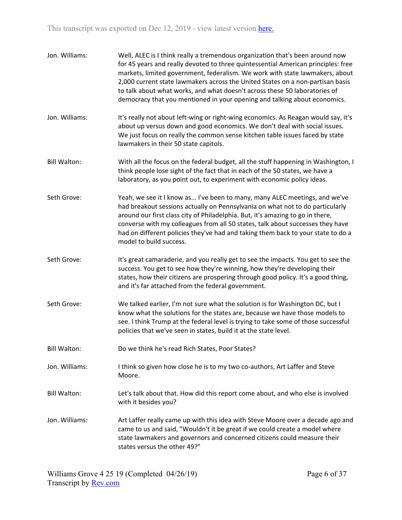| Jon. Williams:      | Well, ALEC is I think really a tremendous organization that's been around now<br>for 45 years and really devoted to three quintessential American principles: free<br>markets, limited government, federalism. We work with state lawmakers, about<br>2,000 current state lawmakers across the United States on a non-partisan basis<br>to talk about what works, and what doesn't across these 50 laboratories of<br>democracy that you mentioned in your opening and talking about economics. |
|---------------------|-------------------------------------------------------------------------------------------------------------------------------------------------------------------------------------------------------------------------------------------------------------------------------------------------------------------------------------------------------------------------------------------------------------------------------------------------------------------------------------------------|
| Jon. Williams:      | It's really not about left-wing or right-wing economics. As Reagan would say, it's<br>about up versus down and good economics. We don't deal with social issues.<br>We just focus on really the common sense kitchen table issues faced by state<br>lawmakers in their 50 state capitols.                                                                                                                                                                                                       |
| <b>Bill Walton:</b> | With all the focus on the federal budget, all the stuff happening in Washington, I<br>think people lose sight of the fact that in each of the 50 states, we have a<br>laboratory, as you point out, to experiment with economic policy ideas.                                                                                                                                                                                                                                                   |
| Seth Grove:         | Yeah, we see it I know as I've been to many, many ALEC meetings, and we've<br>had breakout sessions actually on Pennsylvania on what not to do particularly<br>around our first class city of Philadelphia. But, it's amazing to go in there,<br>converse with my colleagues from all 50 states, talk about successes they have<br>had on different policies they've had and taking them back to your state to do a<br>model to build success.                                                  |
| Seth Grove:         | It's great camaraderie, and you really get to see the impacts. You get to see the<br>success. You get to see how they're winning, how they're developing their<br>states, how their citizens are prospering through good policy. It's a good thing,<br>and it's far attached from the federal government.                                                                                                                                                                                       |
| Seth Grove:         | We talked earlier, I'm not sure what the solution is for Washington DC, but I<br>know what the solutions for the states are, because we have those models to<br>see. I think Trump at the federal level is trying to take some of those successful<br>policies that we've seen in states, build it at the state level.                                                                                                                                                                          |
| <b>Bill Walton:</b> | Do we think he's read Rich States, Poor States?                                                                                                                                                                                                                                                                                                                                                                                                                                                 |
| Jon. Williams:      | I think so given how close he is to my two co-authors, Art Laffer and Steve<br>Moore.                                                                                                                                                                                                                                                                                                                                                                                                           |
| <b>Bill Walton:</b> | Let's talk about that. How did this report come about, and who else is involved<br>with it besides you?                                                                                                                                                                                                                                                                                                                                                                                         |
| Jon. Williams:      | Art Laffer really came up with this idea with Steve Moore over a decade ago and<br>came to us and said, "Wouldn't it be great if we could create a model where<br>state lawmakers and governors and concerned citizens could measure their<br>states versus the other 49?"                                                                                                                                                                                                                      |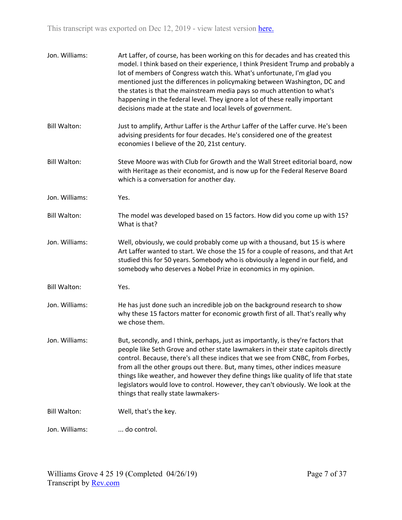| Jon. Williams:      | Art Laffer, of course, has been working on this for decades and has created this<br>model. I think based on their experience, I think President Trump and probably a<br>lot of members of Congress watch this. What's unfortunate, I'm glad you<br>mentioned just the differences in policymaking between Washington, DC and<br>the states is that the mainstream media pays so much attention to what's<br>happening in the federal level. They ignore a lot of these really important<br>decisions made at the state and local levels of government.     |
|---------------------|------------------------------------------------------------------------------------------------------------------------------------------------------------------------------------------------------------------------------------------------------------------------------------------------------------------------------------------------------------------------------------------------------------------------------------------------------------------------------------------------------------------------------------------------------------|
| <b>Bill Walton:</b> | Just to amplify, Arthur Laffer is the Arthur Laffer of the Laffer curve. He's been<br>advising presidents for four decades. He's considered one of the greatest<br>economies I believe of the 20, 21st century.                                                                                                                                                                                                                                                                                                                                            |
| <b>Bill Walton:</b> | Steve Moore was with Club for Growth and the Wall Street editorial board, now<br>with Heritage as their economist, and is now up for the Federal Reserve Board<br>which is a conversation for another day.                                                                                                                                                                                                                                                                                                                                                 |
| Jon. Williams:      | Yes.                                                                                                                                                                                                                                                                                                                                                                                                                                                                                                                                                       |
| <b>Bill Walton:</b> | The model was developed based on 15 factors. How did you come up with 15?<br>What is that?                                                                                                                                                                                                                                                                                                                                                                                                                                                                 |
| Jon. Williams:      | Well, obviously, we could probably come up with a thousand, but 15 is where<br>Art Laffer wanted to start. We chose the 15 for a couple of reasons, and that Art<br>studied this for 50 years. Somebody who is obviously a legend in our field, and<br>somebody who deserves a Nobel Prize in economics in my opinion.                                                                                                                                                                                                                                     |
| <b>Bill Walton:</b> | Yes.                                                                                                                                                                                                                                                                                                                                                                                                                                                                                                                                                       |
| Jon. Williams:      | He has just done such an incredible job on the background research to show<br>why these 15 factors matter for economic growth first of all. That's really why<br>we chose them.                                                                                                                                                                                                                                                                                                                                                                            |
| Jon. Williams:      | But, secondly, and I think, perhaps, just as importantly, is they're factors that<br>people like Seth Grove and other state lawmakers in their state capitols directly<br>control. Because, there's all these indices that we see from CNBC, from Forbes,<br>from all the other groups out there. But, many times, other indices measure<br>things like weather, and however they define things like quality of life that state<br>legislators would love to control. However, they can't obviously. We look at the<br>things that really state lawmakers- |
| <b>Bill Walton:</b> | Well, that's the key.                                                                                                                                                                                                                                                                                                                                                                                                                                                                                                                                      |
| Jon. Williams:      | do control.                                                                                                                                                                                                                                                                                                                                                                                                                                                                                                                                                |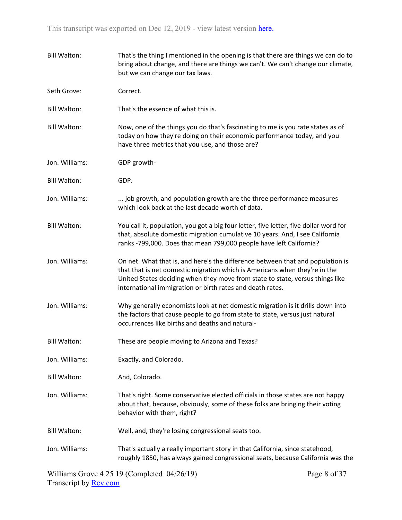| <b>Bill Walton:</b> | That's the thing I mentioned in the opening is that there are things we can do to<br>bring about change, and there are things we can't. We can't change our climate,<br>but we can change our tax laws.                                                                                                    |
|---------------------|------------------------------------------------------------------------------------------------------------------------------------------------------------------------------------------------------------------------------------------------------------------------------------------------------------|
| Seth Grove:         | Correct.                                                                                                                                                                                                                                                                                                   |
| <b>Bill Walton:</b> | That's the essence of what this is.                                                                                                                                                                                                                                                                        |
| <b>Bill Walton:</b> | Now, one of the things you do that's fascinating to me is you rate states as of<br>today on how they're doing on their economic performance today, and you<br>have three metrics that you use, and those are?                                                                                              |
| Jon. Williams:      | GDP growth-                                                                                                                                                                                                                                                                                                |
| Bill Walton:        | GDP.                                                                                                                                                                                                                                                                                                       |
| Jon. Williams:      | job growth, and population growth are the three performance measures<br>which look back at the last decade worth of data.                                                                                                                                                                                  |
| <b>Bill Walton:</b> | You call it, population, you got a big four letter, five letter, five dollar word for<br>that, absolute domestic migration cumulative 10 years. And, I see California<br>ranks -799,000. Does that mean 799,000 people have left California?                                                               |
| Jon. Williams:      | On net. What that is, and here's the difference between that and population is<br>that that is net domestic migration which is Americans when they're in the<br>United States deciding when they move from state to state, versus things like<br>international immigration or birth rates and death rates. |
| Jon. Williams:      | Why generally economists look at net domestic migration is it drills down into<br>the factors that cause people to go from state to state, versus just natural<br>occurrences like births and deaths and natural-                                                                                          |
| <b>Bill Walton:</b> | These are people moving to Arizona and Texas?                                                                                                                                                                                                                                                              |
| Jon. Williams:      | Exactly, and Colorado.                                                                                                                                                                                                                                                                                     |
| <b>Bill Walton:</b> | And, Colorado.                                                                                                                                                                                                                                                                                             |
| Jon. Williams:      | That's right. Some conservative elected officials in those states are not happy<br>about that, because, obviously, some of these folks are bringing their voting<br>behavior with them, right?                                                                                                             |
| <b>Bill Walton:</b> | Well, and, they're losing congressional seats too.                                                                                                                                                                                                                                                         |
| Jon. Williams:      | That's actually a really important story in that California, since statehood,<br>roughly 1850, has always gained congressional seats, because California was the                                                                                                                                           |
|                     | $-1 + 1$ $0A/2C/10$                                                                                                                                                                                                                                                                                        |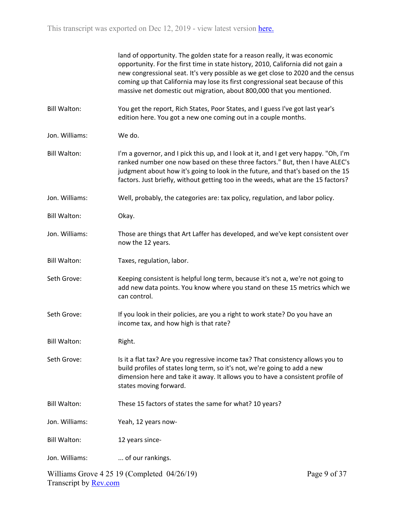|                     | land of opportunity. The golden state for a reason really, it was economic<br>opportunity. For the first time in state history, 2010, California did not gain a<br>new congressional seat. It's very possible as we get close to 2020 and the census<br>coming up that California may lose its first congressional seat because of this<br>massive net domestic out migration, about 800,000 that you mentioned. |
|---------------------|------------------------------------------------------------------------------------------------------------------------------------------------------------------------------------------------------------------------------------------------------------------------------------------------------------------------------------------------------------------------------------------------------------------|
| <b>Bill Walton:</b> | You get the report, Rich States, Poor States, and I guess I've got last year's<br>edition here. You got a new one coming out in a couple months.                                                                                                                                                                                                                                                                 |
| Jon. Williams:      | We do.                                                                                                                                                                                                                                                                                                                                                                                                           |
| <b>Bill Walton:</b> | I'm a governor, and I pick this up, and I look at it, and I get very happy. "Oh, I'm<br>ranked number one now based on these three factors." But, then I have ALEC's<br>judgment about how it's going to look in the future, and that's based on the 15<br>factors. Just briefly, without getting too in the weeds, what are the 15 factors?                                                                     |
| Jon. Williams:      | Well, probably, the categories are: tax policy, regulation, and labor policy.                                                                                                                                                                                                                                                                                                                                    |
| <b>Bill Walton:</b> | Okay.                                                                                                                                                                                                                                                                                                                                                                                                            |
| Jon. Williams:      | Those are things that Art Laffer has developed, and we've kept consistent over<br>now the 12 years.                                                                                                                                                                                                                                                                                                              |
| <b>Bill Walton:</b> | Taxes, regulation, labor.                                                                                                                                                                                                                                                                                                                                                                                        |
| Seth Grove:         | Keeping consistent is helpful long term, because it's not a, we're not going to<br>add new data points. You know where you stand on these 15 metrics which we<br>can control.                                                                                                                                                                                                                                    |
| Seth Grove:         | If you look in their policies, are you a right to work state? Do you have an<br>income tax, and how high is that rate?                                                                                                                                                                                                                                                                                           |
| <b>Bill Walton:</b> | Right.                                                                                                                                                                                                                                                                                                                                                                                                           |
| Seth Grove:         | Is it a flat tax? Are you regressive income tax? That consistency allows you to<br>build profiles of states long term, so it's not, we're going to add a new<br>dimension here and take it away. It allows you to have a consistent profile of<br>states moving forward.                                                                                                                                         |
| <b>Bill Walton:</b> | These 15 factors of states the same for what? 10 years?                                                                                                                                                                                                                                                                                                                                                          |
| Jon. Williams:      | Yeah, 12 years now-                                                                                                                                                                                                                                                                                                                                                                                              |
| <b>Bill Walton:</b> | 12 years since-                                                                                                                                                                                                                                                                                                                                                                                                  |
| Jon. Williams:      | of our rankings.                                                                                                                                                                                                                                                                                                                                                                                                 |
|                     |                                                                                                                                                                                                                                                                                                                                                                                                                  |

Williams Grove 4 25 19 (Completed 04/26/19) Transcript by [Rev.com](https://www.rev.com/)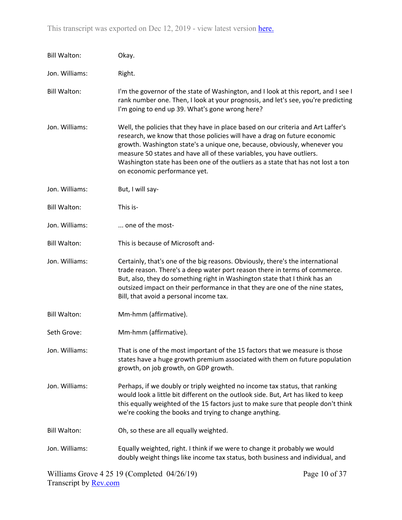| <b>Bill Walton:</b> | Okay.                                                                                                                                                                                                                                                                                                                                                                                                                                    |
|---------------------|------------------------------------------------------------------------------------------------------------------------------------------------------------------------------------------------------------------------------------------------------------------------------------------------------------------------------------------------------------------------------------------------------------------------------------------|
| Jon. Williams:      | Right.                                                                                                                                                                                                                                                                                                                                                                                                                                   |
| <b>Bill Walton:</b> | I'm the governor of the state of Washington, and I look at this report, and I see I<br>rank number one. Then, I look at your prognosis, and let's see, you're predicting<br>I'm going to end up 39. What's gone wrong here?                                                                                                                                                                                                              |
| Jon. Williams:      | Well, the policies that they have in place based on our criteria and Art Laffer's<br>research, we know that those policies will have a drag on future economic<br>growth. Washington state's a unique one, because, obviously, whenever you<br>measure 50 states and have all of these variables, you have outliers.<br>Washington state has been one of the outliers as a state that has not lost a ton<br>on economic performance yet. |
| Jon. Williams:      | But, I will say-                                                                                                                                                                                                                                                                                                                                                                                                                         |
| <b>Bill Walton:</b> | This is-                                                                                                                                                                                                                                                                                                                                                                                                                                 |
| Jon. Williams:      | one of the most-                                                                                                                                                                                                                                                                                                                                                                                                                         |
| <b>Bill Walton:</b> | This is because of Microsoft and-                                                                                                                                                                                                                                                                                                                                                                                                        |
| Jon. Williams:      | Certainly, that's one of the big reasons. Obviously, there's the international<br>trade reason. There's a deep water port reason there in terms of commerce.<br>But, also, they do something right in Washington state that I think has an<br>outsized impact on their performance in that they are one of the nine states,<br>Bill, that avoid a personal income tax.                                                                   |
| <b>Bill Walton:</b> | Mm-hmm (affirmative).                                                                                                                                                                                                                                                                                                                                                                                                                    |
| Seth Grove:         | Mm-hmm (affirmative).                                                                                                                                                                                                                                                                                                                                                                                                                    |
| Jon. Williams:      | That is one of the most important of the 15 factors that we measure is those<br>states have a huge growth premium associated with them on future population<br>growth, on job growth, on GDP growth.                                                                                                                                                                                                                                     |
| Jon. Williams:      | Perhaps, if we doubly or triply weighted no income tax status, that ranking<br>would look a little bit different on the outlook side. But, Art has liked to keep<br>this equally weighted of the 15 factors just to make sure that people don't think<br>we're cooking the books and trying to change anything.                                                                                                                          |
| <b>Bill Walton:</b> | Oh, so these are all equally weighted.                                                                                                                                                                                                                                                                                                                                                                                                   |
| Jon. Williams:      | Equally weighted, right. I think if we were to change it probably we would<br>doubly weight things like income tax status, both business and individual, and                                                                                                                                                                                                                                                                             |

Williams Grove 4 25 19 (Completed 04/26/19) Transcript by [Rev.com](https://www.rev.com/)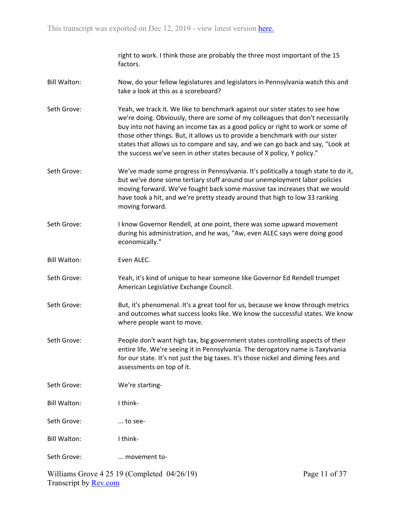right to work. I think those are probably the three most important of the 15 factors.

- Bill Walton: Now, do your fellow legislatures and legislators in Pennsylvania watch this and take a look at this as a scoreboard?
- Seth Grove: Yeah, we track it. We like to benchmark against our sister states to see how we're doing. Obviously, there are some of my colleagues that don't necessarily buy into not having an income tax as a good policy or right to work or some of those other things. But, it allows us to provide a benchmark with our sister states that allows us to compare and say, and we can go back and say, "Look at the success we've seen in other states because of X policy, Y policy."
- Seth Grove: We've made some progress in Pennsylvania. It's politically a tough state to do it, but we've done some tertiary stuff around our unemployment labor policies moving forward. We've fought back some massive tax increases that we would have took a hit, and we're pretty steady around that high to low 33 ranking moving forward.
- Seth Grove: I know Governor Rendell, at one point, there was some upward movement during his administration, and he was, "Aw, even ALEC says were doing good economically."
- Bill Walton: Even ALEC.
- Seth Grove: Yeah, it's kind of unique to hear someone like Governor Ed Rendell trumpet American Legislative Exchange Council.
- Seth Grove: But, it's phenomenal. It's a great tool for us, because we know through metrics and outcomes what success looks like. We know the successful states. We know where people want to move.
- Seth Grove: People don't want high tax, big government states controlling aspects of their entire life. We're seeing it in Pennsylvania. The derogatory name is Taxylvania for our state. It's not just the big taxes. It's those nickel and diming fees and assessments on top of it.
- Seth Grove: We're starting-
- Bill Walton: I think-
- Seth Grove: ... to see-
- Bill Walton: I think-
- Seth Grove: ... movement to-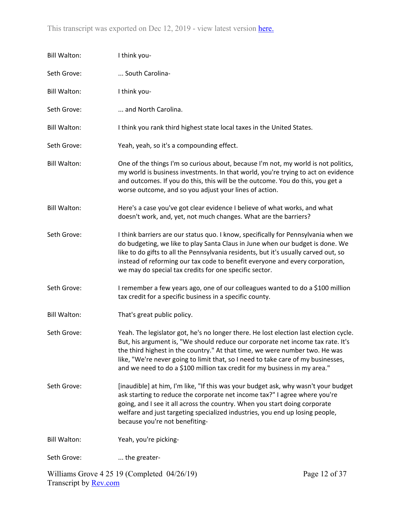| <b>Bill Walton:</b> | I think you-                                                                                                                                                                                                                                                                                                                                                                                                             |                                                 |
|---------------------|--------------------------------------------------------------------------------------------------------------------------------------------------------------------------------------------------------------------------------------------------------------------------------------------------------------------------------------------------------------------------------------------------------------------------|-------------------------------------------------|
| Seth Grove:         | South Carolina-                                                                                                                                                                                                                                                                                                                                                                                                          |                                                 |
| <b>Bill Walton:</b> | I think you-                                                                                                                                                                                                                                                                                                                                                                                                             |                                                 |
| Seth Grove:         | and North Carolina.                                                                                                                                                                                                                                                                                                                                                                                                      |                                                 |
| <b>Bill Walton:</b> | I think you rank third highest state local taxes in the United States.                                                                                                                                                                                                                                                                                                                                                   |                                                 |
| Seth Grove:         | Yeah, yeah, so it's a compounding effect.                                                                                                                                                                                                                                                                                                                                                                                |                                                 |
| <b>Bill Walton:</b> | One of the things I'm so curious about, because I'm not, my world is not politics,<br>my world is business investments. In that world, you're trying to act on evidence<br>and outcomes. If you do this, this will be the outcome. You do this, you get a<br>worse outcome, and so you adjust your lines of action.                                                                                                      |                                                 |
| <b>Bill Walton:</b> | Here's a case you've got clear evidence I believe of what works, and what<br>doesn't work, and, yet, not much changes. What are the barriers?                                                                                                                                                                                                                                                                            |                                                 |
| Seth Grove:         | I think barriers are our status quo. I know, specifically for Pennsylvania when we<br>do budgeting, we like to play Santa Claus in June when our budget is done. We<br>like to do gifts to all the Pennsylvania residents, but it's usually carved out, so<br>instead of reforming our tax code to benefit everyone and every corporation,<br>we may do special tax credits for one specific sector.                     |                                                 |
| Seth Grove:         | I remember a few years ago, one of our colleagues wanted to do a \$100 million<br>tax credit for a specific business in a specific county.                                                                                                                                                                                                                                                                               |                                                 |
| <b>Bill Walton:</b> | That's great public policy.                                                                                                                                                                                                                                                                                                                                                                                              |                                                 |
| Seth Grove:         | Yeah. The legislator got, he's no longer there. He lost election last election cycle.<br>But, his argument is, "We should reduce our corporate net income tax rate. It's<br>the third highest in the country." At that time, we were number two. He was<br>like, "We're never going to limit that, so I need to take care of my businesses,<br>and we need to do a \$100 million tax credit for my business in my area." |                                                 |
| Seth Grove:         | [inaudible] at him, I'm like, "If this was your budget ask, why wasn't your budget<br>ask starting to reduce the corporate net income tax?" I agree where you're<br>going, and I see it all across the country. When you start doing corporate<br>welfare and just targeting specialized industries, you end up losing people,<br>because you're not benefiting-                                                         |                                                 |
| <b>Bill Walton:</b> | Yeah, you're picking-                                                                                                                                                                                                                                                                                                                                                                                                    |                                                 |
| Seth Grove:         | the greater-                                                                                                                                                                                                                                                                                                                                                                                                             |                                                 |
|                     | Williams Croys $4.25, 10$ (Completed, 04/26/10)                                                                                                                                                                                                                                                                                                                                                                          | $D_{\alpha\alpha\alpha}$ 12 $\alpha$ $\beta$ 27 |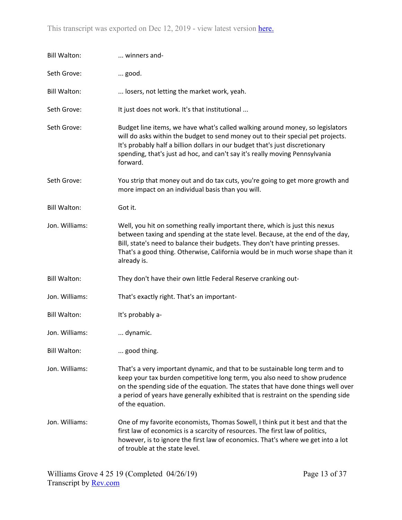| <b>Bill Walton:</b> | winners and-                                                                                                                                                                                                                                                                                                                                            |
|---------------------|---------------------------------------------------------------------------------------------------------------------------------------------------------------------------------------------------------------------------------------------------------------------------------------------------------------------------------------------------------|
| Seth Grove:         | good.                                                                                                                                                                                                                                                                                                                                                   |
| <b>Bill Walton:</b> | losers, not letting the market work, yeah.                                                                                                                                                                                                                                                                                                              |
| Seth Grove:         | It just does not work. It's that institutional                                                                                                                                                                                                                                                                                                          |
| Seth Grove:         | Budget line items, we have what's called walking around money, so legislators<br>will do asks within the budget to send money out to their special pet projects.<br>It's probably half a billion dollars in our budget that's just discretionary<br>spending, that's just ad hoc, and can't say it's really moving Pennsylvania<br>forward.             |
| Seth Grove:         | You strip that money out and do tax cuts, you're going to get more growth and<br>more impact on an individual basis than you will.                                                                                                                                                                                                                      |
| <b>Bill Walton:</b> | Got it.                                                                                                                                                                                                                                                                                                                                                 |
| Jon. Williams:      | Well, you hit on something really important there, which is just this nexus<br>between taxing and spending at the state level. Because, at the end of the day,<br>Bill, state's need to balance their budgets. They don't have printing presses.<br>That's a good thing. Otherwise, California would be in much worse shape than it<br>already is.      |
| <b>Bill Walton:</b> | They don't have their own little Federal Reserve cranking out-                                                                                                                                                                                                                                                                                          |
| Jon. Williams:      | That's exactly right. That's an important-                                                                                                                                                                                                                                                                                                              |
| <b>Bill Walton:</b> | It's probably a-                                                                                                                                                                                                                                                                                                                                        |
| Jon. Williams:      | dynamic.                                                                                                                                                                                                                                                                                                                                                |
| <b>Bill Walton:</b> | good thing.                                                                                                                                                                                                                                                                                                                                             |
| Jon. Williams:      | That's a very important dynamic, and that to be sustainable long term and to<br>keep your tax burden competitive long term, you also need to show prudence<br>on the spending side of the equation. The states that have done things well over<br>a period of years have generally exhibited that is restraint on the spending side<br>of the equation. |
| Jon. Williams:      | One of my favorite economists, Thomas Sowell, I think put it best and that the<br>first law of economics is a scarcity of resources. The first law of politics,<br>however, is to ignore the first law of economics. That's where we get into a lot<br>of trouble at the state level.                                                                   |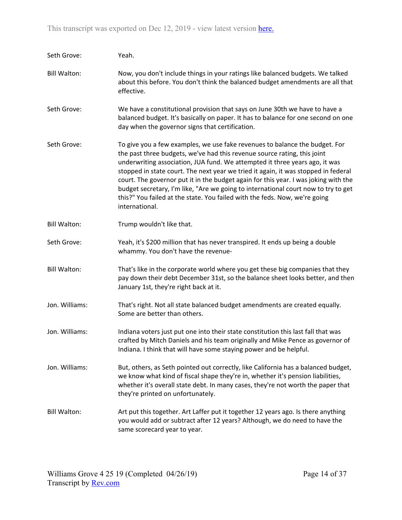| Seth Grove:         | Yeah.                                                                                                                                                                                                                                                                                                                                                                                                                                                                                                                                                                                                     |
|---------------------|-----------------------------------------------------------------------------------------------------------------------------------------------------------------------------------------------------------------------------------------------------------------------------------------------------------------------------------------------------------------------------------------------------------------------------------------------------------------------------------------------------------------------------------------------------------------------------------------------------------|
| <b>Bill Walton:</b> | Now, you don't include things in your ratings like balanced budgets. We talked<br>about this before. You don't think the balanced budget amendments are all that<br>effective.                                                                                                                                                                                                                                                                                                                                                                                                                            |
| Seth Grove:         | We have a constitutional provision that says on June 30th we have to have a<br>balanced budget. It's basically on paper. It has to balance for one second on one<br>day when the governor signs that certification.                                                                                                                                                                                                                                                                                                                                                                                       |
| Seth Grove:         | To give you a few examples, we use fake revenues to balance the budget. For<br>the past three budgets, we've had this revenue source rating, this joint<br>underwriting association, JUA fund. We attempted it three years ago, it was<br>stopped in state court. The next year we tried it again, it was stopped in federal<br>court. The governor put it in the budget again for this year. I was joking with the<br>budget secretary, I'm like, "Are we going to international court now to try to get<br>this?" You failed at the state. You failed with the feds. Now, we're going<br>international. |
| <b>Bill Walton:</b> | Trump wouldn't like that.                                                                                                                                                                                                                                                                                                                                                                                                                                                                                                                                                                                 |
| Seth Grove:         | Yeah, it's \$200 million that has never transpired. It ends up being a double<br>whammy. You don't have the revenue-                                                                                                                                                                                                                                                                                                                                                                                                                                                                                      |
| <b>Bill Walton:</b> | That's like in the corporate world where you get these big companies that they<br>pay down their debt December 31st, so the balance sheet looks better, and then<br>January 1st, they're right back at it.                                                                                                                                                                                                                                                                                                                                                                                                |
| Jon. Williams:      | That's right. Not all state balanced budget amendments are created equally.<br>Some are better than others.                                                                                                                                                                                                                                                                                                                                                                                                                                                                                               |
| Jon. Williams:      | Indiana voters just put one into their state constitution this last fall that was<br>crafted by Mitch Daniels and his team originally and Mike Pence as governor of<br>Indiana. I think that will have some staying power and be helpful.                                                                                                                                                                                                                                                                                                                                                                 |
| Jon. Williams:      | But, others, as Seth pointed out correctly, like California has a balanced budget,<br>we know what kind of fiscal shape they're in, whether it's pension liabilities,<br>whether it's overall state debt. In many cases, they're not worth the paper that<br>they're printed on unfortunately.                                                                                                                                                                                                                                                                                                            |
| <b>Bill Walton:</b> | Art put this together. Art Laffer put it together 12 years ago. Is there anything<br>you would add or subtract after 12 years? Although, we do need to have the<br>same scorecard year to year.                                                                                                                                                                                                                                                                                                                                                                                                           |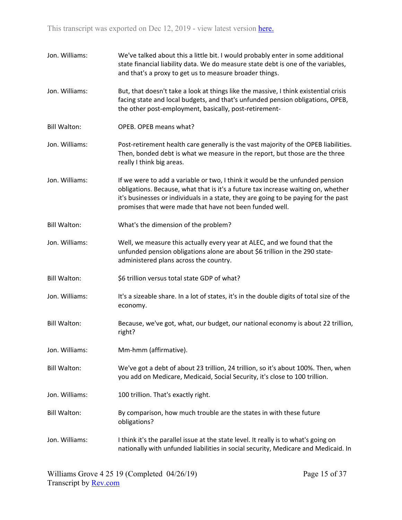| Jon. Williams:      | We've talked about this a little bit. I would probably enter in some additional<br>state financial liability data. We do measure state debt is one of the variables,<br>and that's a proxy to get us to measure broader things.                                                                                      |
|---------------------|----------------------------------------------------------------------------------------------------------------------------------------------------------------------------------------------------------------------------------------------------------------------------------------------------------------------|
| Jon. Williams:      | But, that doesn't take a look at things like the massive, I think existential crisis<br>facing state and local budgets, and that's unfunded pension obligations, OPEB,<br>the other post-employment, basically, post-retirement-                                                                                     |
| <b>Bill Walton:</b> | OPEB. OPEB means what?                                                                                                                                                                                                                                                                                               |
| Jon. Williams:      | Post-retirement health care generally is the vast majority of the OPEB liabilities.<br>Then, bonded debt is what we measure in the report, but those are the three<br>really I think big areas.                                                                                                                      |
| Jon. Williams:      | If we were to add a variable or two, I think it would be the unfunded pension<br>obligations. Because, what that is it's a future tax increase waiting on, whether<br>it's businesses or individuals in a state, they are going to be paying for the past<br>promises that were made that have not been funded well. |
| <b>Bill Walton:</b> | What's the dimension of the problem?                                                                                                                                                                                                                                                                                 |
| Jon. Williams:      | Well, we measure this actually every year at ALEC, and we found that the<br>unfunded pension obligations alone are about \$6 trillion in the 290 state-<br>administered plans across the country.                                                                                                                    |
| <b>Bill Walton:</b> | \$6 trillion versus total state GDP of what?                                                                                                                                                                                                                                                                         |
| Jon. Williams:      | It's a sizeable share. In a lot of states, it's in the double digits of total size of the<br>economy.                                                                                                                                                                                                                |
| <b>Bill Walton:</b> | Because, we've got, what, our budget, our national economy is about 22 trillion,<br>right?                                                                                                                                                                                                                           |
| Jon. Williams:      | Mm-hmm (affirmative).                                                                                                                                                                                                                                                                                                |
| <b>Bill Walton:</b> | We've got a debt of about 23 trillion, 24 trillion, so it's about 100%. Then, when<br>you add on Medicare, Medicaid, Social Security, it's close to 100 trillion.                                                                                                                                                    |
| Jon. Williams:      | 100 trillion. That's exactly right.                                                                                                                                                                                                                                                                                  |
| <b>Bill Walton:</b> | By comparison, how much trouble are the states in with these future<br>obligations?                                                                                                                                                                                                                                  |
| Jon. Williams:      | I think it's the parallel issue at the state level. It really is to what's going on<br>nationally with unfunded liabilities in social security, Medicare and Medicaid. In                                                                                                                                            |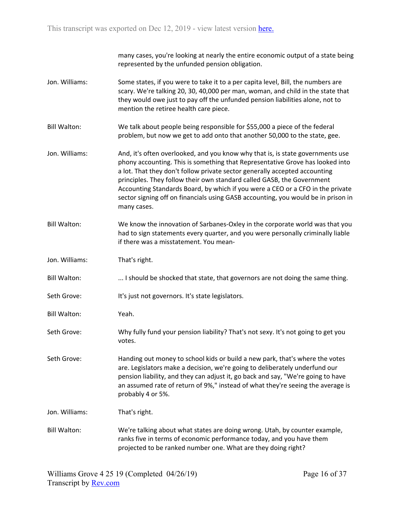many cases, you're looking at nearly the entire economic output of a state being represented by the unfunded pension obligation.

- Jon. Williams: Some states, if you were to take it to a per capita level, Bill, the numbers are scary. We're talking 20, 30, 40,000 per man, woman, and child in the state that they would owe just to pay off the unfunded pension liabilities alone, not to mention the retiree health care piece.
- Bill Walton: We talk about people being responsible for \$55,000 a piece of the federal problem, but now we get to add onto that another 50,000 to the state, gee.
- Jon. Williams: And, it's often overlooked, and you know why that is, is state governments use phony accounting. This is something that Representative Grove has looked into a lot. That they don't follow private sector generally accepted accounting principles. They follow their own standard called GASB, the Government Accounting Standards Board, by which if you were a CEO or a CFO in the private sector signing off on financials using GASB accounting, you would be in prison in many cases.
- Bill Walton: We know the innovation of Sarbanes-Oxley in the corporate world was that you had to sign statements every quarter, and you were personally criminally liable if there was a misstatement. You mean-
- Jon. Williams: That's right.
- Bill Walton: ... I should be shocked that state, that governors are not doing the same thing.
- Seth Grove: It's just not governors. It's state legislators.
- Bill Walton: Yeah.
- Seth Grove: Why fully fund your pension liability? That's not sexy. It's not going to get you votes.
- Seth Grove: Handing out money to school kids or build a new park, that's where the votes are. Legislators make a decision, we're going to deliberately underfund our pension liability, and they can adjust it, go back and say, "We're going to have an assumed rate of return of 9%," instead of what they're seeing the average is probably 4 or 5%.
- Jon. Williams: That's right.
- Bill Walton: We're talking about what states are doing wrong. Utah, by counter example, ranks five in terms of economic performance today, and you have them projected to be ranked number one. What are they doing right?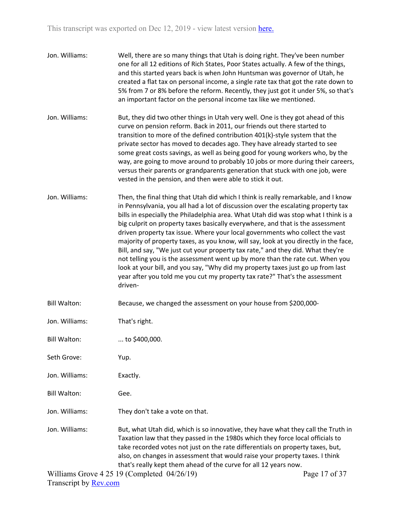- Jon. Williams: Well, there are so many things that Utah is doing right. They've been number one for all 12 editions of Rich States, Poor States actually. A few of the things, and this started years back is when John Huntsman was governor of Utah, he created a flat tax on personal income, a single rate tax that got the rate down to 5% from 7 or 8% before the reform. Recently, they just got it under 5%, so that's an important factor on the personal income tax like we mentioned.
- Jon. Williams: But, they did two other things in Utah very well. One is they got ahead of this curve on pension reform. Back in 2011, our friends out there started to transition to more of the defined contribution 401(k)-style system that the private sector has moved to decades ago. They have already started to see some great costs savings, as well as being good for young workers who, by the way, are going to move around to probably 10 jobs or more during their careers, versus their parents or grandparents generation that stuck with one job, were vested in the pension, and then were able to stick it out.
- Jon. Williams: Then, the final thing that Utah did which I think is really remarkable, and I know in Pennsylvania, you all had a lot of discussion over the escalating property tax bills in especially the Philadelphia area. What Utah did was stop what I think is a big culprit on property taxes basically everywhere, and that is the assessment driven property tax issue. Where your local governments who collect the vast majority of property taxes, as you know, will say, look at you directly in the face, Bill, and say, "We just cut your property tax rate," and they did. What they're not telling you is the assessment went up by more than the rate cut. When you look at your bill, and you say, "Why did my property taxes just go up from last year after you told me you cut my property tax rate?" That's the assessment driven-
- Bill Walton: Because, we changed the assessment on your house from \$200,000-
- Jon. Williams: That's right.

Bill Walton: ... to \$400,000.

Seth Grove: Yup.

Jon. Williams: Exactly.

- Bill Walton: Gee.
- Jon. Williams: They don't take a vote on that.
- Jon. Williams: But, what Utah did, which is so innovative, they have what they call the Truth in Taxation law that they passed in the 1980s which they force local officials to take recorded votes not just on the rate differentials on property taxes, but, also, on changes in assessment that would raise your property taxes. I think that's really kept them ahead of the curve for all 12 years now.

Williams Grove 4 25 19 (Completed 04/26/19) Transcript by [Rev.com](https://www.rev.com/)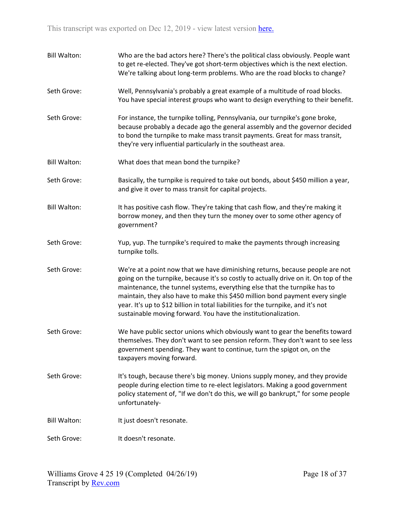| <b>Bill Walton:</b> | Who are the bad actors here? There's the political class obviously. People want<br>to get re-elected. They've got short-term objectives which is the next election.<br>We're talking about long-term problems. Who are the road blocks to change?                                                                                                                                                                                                                                          |
|---------------------|--------------------------------------------------------------------------------------------------------------------------------------------------------------------------------------------------------------------------------------------------------------------------------------------------------------------------------------------------------------------------------------------------------------------------------------------------------------------------------------------|
| Seth Grove:         | Well, Pennsylvania's probably a great example of a multitude of road blocks.<br>You have special interest groups who want to design everything to their benefit.                                                                                                                                                                                                                                                                                                                           |
| Seth Grove:         | For instance, the turnpike tolling, Pennsylvania, our turnpike's gone broke,<br>because probably a decade ago the general assembly and the governor decided<br>to bond the turnpike to make mass transit payments. Great for mass transit,<br>they're very influential particularly in the southeast area.                                                                                                                                                                                 |
| <b>Bill Walton:</b> | What does that mean bond the turnpike?                                                                                                                                                                                                                                                                                                                                                                                                                                                     |
| Seth Grove:         | Basically, the turnpike is required to take out bonds, about \$450 million a year,<br>and give it over to mass transit for capital projects.                                                                                                                                                                                                                                                                                                                                               |
| <b>Bill Walton:</b> | It has positive cash flow. They're taking that cash flow, and they're making it<br>borrow money, and then they turn the money over to some other agency of<br>government?                                                                                                                                                                                                                                                                                                                  |
| Seth Grove:         | Yup, yup. The turnpike's required to make the payments through increasing<br>turnpike tolls.                                                                                                                                                                                                                                                                                                                                                                                               |
| Seth Grove:         | We're at a point now that we have diminishing returns, because people are not<br>going on the turnpike, because it's so costly to actually drive on it. On top of the<br>maintenance, the tunnel systems, everything else that the turnpike has to<br>maintain, they also have to make this \$450 million bond payment every single<br>year. It's up to \$12 billion in total liabilities for the turnpike, and it's not<br>sustainable moving forward. You have the institutionalization. |
| Seth Grove:         | We have public sector unions which obviously want to gear the benefits toward<br>themselves. They don't want to see pension reform. They don't want to see less<br>government spending. They want to continue, turn the spigot on, on the<br>taxpayers moving forward.                                                                                                                                                                                                                     |
| Seth Grove:         | It's tough, because there's big money. Unions supply money, and they provide<br>people during election time to re-elect legislators. Making a good government<br>policy statement of, "If we don't do this, we will go bankrupt," for some people<br>unfortunately-                                                                                                                                                                                                                        |
| <b>Bill Walton:</b> | It just doesn't resonate.                                                                                                                                                                                                                                                                                                                                                                                                                                                                  |
| Seth Grove:         | It doesn't resonate.                                                                                                                                                                                                                                                                                                                                                                                                                                                                       |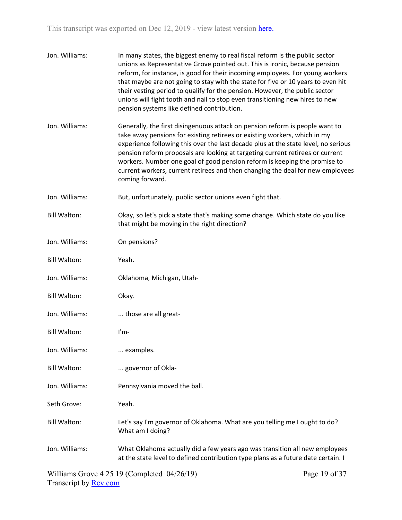| Jon. Williams:      | In many states, the biggest enemy to real fiscal reform is the public sector<br>unions as Representative Grove pointed out. This is ironic, because pension<br>reform, for instance, is good for their incoming employees. For young workers<br>that maybe are not going to stay with the state for five or 10 years to even hit<br>their vesting period to qualify for the pension. However, the public sector<br>unions will fight tooth and nail to stop even transitioning new hires to new<br>pension systems like defined contribution. |
|---------------------|-----------------------------------------------------------------------------------------------------------------------------------------------------------------------------------------------------------------------------------------------------------------------------------------------------------------------------------------------------------------------------------------------------------------------------------------------------------------------------------------------------------------------------------------------|
| Jon. Williams:      | Generally, the first disingenuous attack on pension reform is people want to<br>take away pensions for existing retirees or existing workers, which in my<br>experience following this over the last decade plus at the state level, no serious<br>pension reform proposals are looking at targeting current retirees or current<br>workers. Number one goal of good pension reform is keeping the promise to<br>current workers, current retirees and then changing the deal for new employees<br>coming forward.                            |
| Jon. Williams:      | But, unfortunately, public sector unions even fight that.                                                                                                                                                                                                                                                                                                                                                                                                                                                                                     |
| <b>Bill Walton:</b> | Okay, so let's pick a state that's making some change. Which state do you like<br>that might be moving in the right direction?                                                                                                                                                                                                                                                                                                                                                                                                                |
| Jon. Williams:      | On pensions?                                                                                                                                                                                                                                                                                                                                                                                                                                                                                                                                  |
| <b>Bill Walton:</b> | Yeah.                                                                                                                                                                                                                                                                                                                                                                                                                                                                                                                                         |
| Jon. Williams:      | Oklahoma, Michigan, Utah-                                                                                                                                                                                                                                                                                                                                                                                                                                                                                                                     |
| <b>Bill Walton:</b> | Okay.                                                                                                                                                                                                                                                                                                                                                                                                                                                                                                                                         |
| Jon. Williams:      | those are all great-                                                                                                                                                                                                                                                                                                                                                                                                                                                                                                                          |
| <b>Bill Walton:</b> | $l'm-$                                                                                                                                                                                                                                                                                                                                                                                                                                                                                                                                        |
| Jon. Williams:      | examples.                                                                                                                                                                                                                                                                                                                                                                                                                                                                                                                                     |
| <b>Bill Walton:</b> | governor of Okla-                                                                                                                                                                                                                                                                                                                                                                                                                                                                                                                             |
| Jon. Williams:      | Pennsylvania moved the ball.                                                                                                                                                                                                                                                                                                                                                                                                                                                                                                                  |
| Seth Grove:         | Yeah.                                                                                                                                                                                                                                                                                                                                                                                                                                                                                                                                         |
| <b>Bill Walton:</b> | Let's say I'm governor of Oklahoma. What are you telling me I ought to do?<br>What am I doing?                                                                                                                                                                                                                                                                                                                                                                                                                                                |
| Jon. Williams:      | What Oklahoma actually did a few years ago was transition all new employees<br>at the state level to defined contribution type plans as a future date certain. I                                                                                                                                                                                                                                                                                                                                                                              |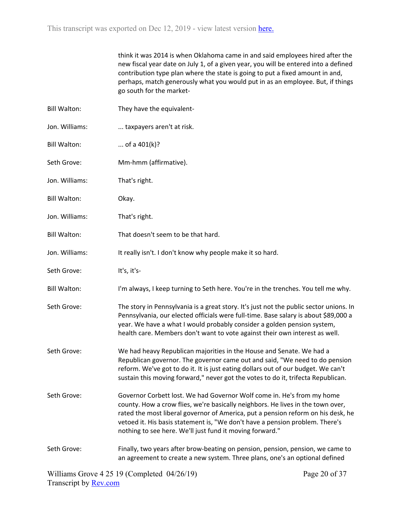think it was 2014 is when Oklahoma came in and said employees hired after the new fiscal year date on July 1, of a given year, you will be entered into a defined contribution type plan where the state is going to put a fixed amount in and, perhaps, match generously what you would put in as an employee. But, if things go south for the market-

| <b>Bill Walton:</b> | They have the equivalent-                                                                                                                                                                                                                                                                                                                                                                 |
|---------------------|-------------------------------------------------------------------------------------------------------------------------------------------------------------------------------------------------------------------------------------------------------------------------------------------------------------------------------------------------------------------------------------------|
| Jon. Williams:      | taxpayers aren't at risk.                                                                                                                                                                                                                                                                                                                                                                 |
| <b>Bill Walton:</b> | of a $401(k)$ ?                                                                                                                                                                                                                                                                                                                                                                           |
| Seth Grove:         | Mm-hmm (affirmative).                                                                                                                                                                                                                                                                                                                                                                     |
| Jon. Williams:      | That's right.                                                                                                                                                                                                                                                                                                                                                                             |
| <b>Bill Walton:</b> | Okay.                                                                                                                                                                                                                                                                                                                                                                                     |
| Jon. Williams:      | That's right.                                                                                                                                                                                                                                                                                                                                                                             |
| <b>Bill Walton:</b> | That doesn't seem to be that hard.                                                                                                                                                                                                                                                                                                                                                        |
| Jon. Williams:      | It really isn't. I don't know why people make it so hard.                                                                                                                                                                                                                                                                                                                                 |
| Seth Grove:         | It's, it's-                                                                                                                                                                                                                                                                                                                                                                               |
| <b>Bill Walton:</b> | I'm always, I keep turning to Seth here. You're in the trenches. You tell me why.                                                                                                                                                                                                                                                                                                         |
| Seth Grove:         | The story in Pennsylvania is a great story. It's just not the public sector unions. In<br>Pennsylvania, our elected officials were full-time. Base salary is about \$89,000 a<br>year. We have a what I would probably consider a golden pension system,<br>health care. Members don't want to vote against their own interest as well.                                                   |
| Seth Grove:         | We had heavy Republican majorities in the House and Senate. We had a<br>Republican governor. The governor came out and said, "We need to do pension<br>reform. We've got to do it. It is just eating dollars out of our budget. We can't<br>sustain this moving forward," never got the votes to do it, trifecta Republican.                                                              |
| Seth Grove:         | Governor Corbett lost. We had Governor Wolf come in. He's from my home<br>county. How a crow flies, we're basically neighbors. He lives in the town over,<br>rated the most liberal governor of America, put a pension reform on his desk, he<br>vetoed it. His basis statement is, "We don't have a pension problem. There's<br>nothing to see here. We'll just fund it moving forward." |
| Seth Grove:         | Finally, two years after brow-beating on pension, pension, pension, we came to<br>an agreement to create a new system. Three plans, one's an optional defined                                                                                                                                                                                                                             |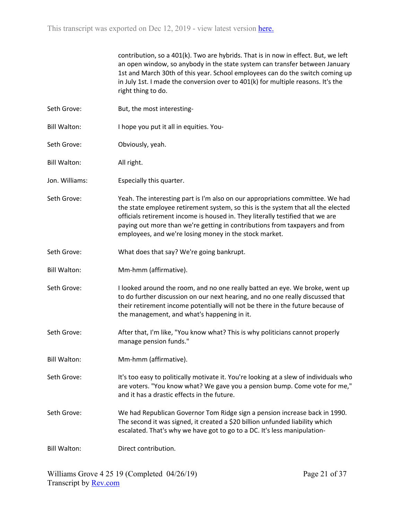contribution, so a 401(k). Two are hybrids. That is in now in effect. But, we left an open window, so anybody in the state system can transfer between January 1st and March 30th of this year. School employees can do the switch coming up in July 1st. I made the conversion over to 401(k) for multiple reasons. It's the right thing to do.

- Seth Grove: But, the most interesting-
- Bill Walton: I hope you put it all in equities. You-
- Seth Grove: Obviously, yeah.
- Bill Walton: All right.
- Jon. Williams: Especially this quarter.
- Seth Grove: Yeah. The interesting part is I'm also on our appropriations committee. We had the state employee retirement system, so this is the system that all the elected officials retirement income is housed in. They literally testified that we are paying out more than we're getting in contributions from taxpayers and from employees, and we're losing money in the stock market.
- Seth Grove: What does that say? We're going bankrupt.
- Bill Walton: Mm-hmm (affirmative).
- Seth Grove: I looked around the room, and no one really batted an eye. We broke, went up to do further discussion on our next hearing, and no one really discussed that their retirement income potentially will not be there in the future because of the management, and what's happening in it.
- Seth Grove: After that, I'm like, "You know what? This is why politicians cannot properly manage pension funds."
- Bill Walton: Mm-hmm (affirmative).

Seth Grove: It's too easy to politically motivate it. You're looking at a slew of individuals who are voters. "You know what? We gave you a pension bump. Come vote for me," and it has a drastic effects in the future.

Seth Grove: We had Republican Governor Tom Ridge sign a pension increase back in 1990. The second it was signed, it created a \$20 billion unfunded liability which escalated. That's why we have got to go to a DC. It's less manipulation-

Bill Walton: Direct contribution.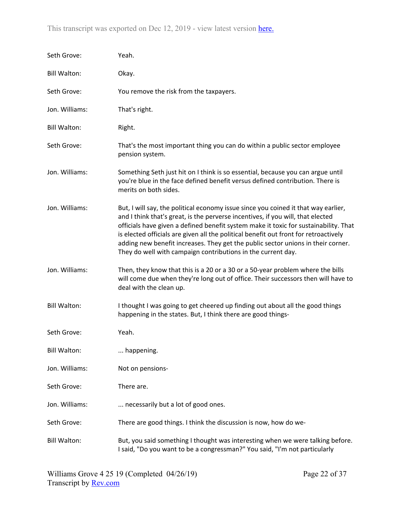| Seth Grove:         | Yeah.                                                                                                                                                                                                                                                                                                                                                                                                                                                                                                     |
|---------------------|-----------------------------------------------------------------------------------------------------------------------------------------------------------------------------------------------------------------------------------------------------------------------------------------------------------------------------------------------------------------------------------------------------------------------------------------------------------------------------------------------------------|
| <b>Bill Walton:</b> | Okay.                                                                                                                                                                                                                                                                                                                                                                                                                                                                                                     |
| Seth Grove:         | You remove the risk from the taxpayers.                                                                                                                                                                                                                                                                                                                                                                                                                                                                   |
| Jon. Williams:      | That's right.                                                                                                                                                                                                                                                                                                                                                                                                                                                                                             |
| <b>Bill Walton:</b> | Right.                                                                                                                                                                                                                                                                                                                                                                                                                                                                                                    |
| Seth Grove:         | That's the most important thing you can do within a public sector employee<br>pension system.                                                                                                                                                                                                                                                                                                                                                                                                             |
| Jon. Williams:      | Something Seth just hit on I think is so essential, because you can argue until<br>you're blue in the face defined benefit versus defined contribution. There is<br>merits on both sides.                                                                                                                                                                                                                                                                                                                 |
| Jon. Williams:      | But, I will say, the political economy issue since you coined it that way earlier,<br>and I think that's great, is the perverse incentives, if you will, that elected<br>officials have given a defined benefit system make it toxic for sustainability. That<br>is elected officials are given all the political benefit out front for retroactively<br>adding new benefit increases. They get the public sector unions in their corner.<br>They do well with campaign contributions in the current day. |
| Jon. Williams:      | Then, they know that this is a 20 or a 30 or a 50-year problem where the bills<br>will come due when they're long out of office. Their successors then will have to<br>deal with the clean up.                                                                                                                                                                                                                                                                                                            |
| <b>Bill Walton:</b> | I thought I was going to get cheered up finding out about all the good things<br>happening in the states. But, I think there are good things-                                                                                                                                                                                                                                                                                                                                                             |
| Seth Grove:         | Yeah.                                                                                                                                                                                                                                                                                                                                                                                                                                                                                                     |
| <b>Bill Walton:</b> | happening.                                                                                                                                                                                                                                                                                                                                                                                                                                                                                                |
| Jon. Williams:      | Not on pensions-                                                                                                                                                                                                                                                                                                                                                                                                                                                                                          |
| Seth Grove:         | There are.                                                                                                                                                                                                                                                                                                                                                                                                                                                                                                |
| Jon. Williams:      | necessarily but a lot of good ones.                                                                                                                                                                                                                                                                                                                                                                                                                                                                       |
| Seth Grove:         | There are good things. I think the discussion is now, how do we-                                                                                                                                                                                                                                                                                                                                                                                                                                          |
| <b>Bill Walton:</b> | But, you said something I thought was interesting when we were talking before.<br>I said, "Do you want to be a congressman?" You said, "I'm not particularly                                                                                                                                                                                                                                                                                                                                              |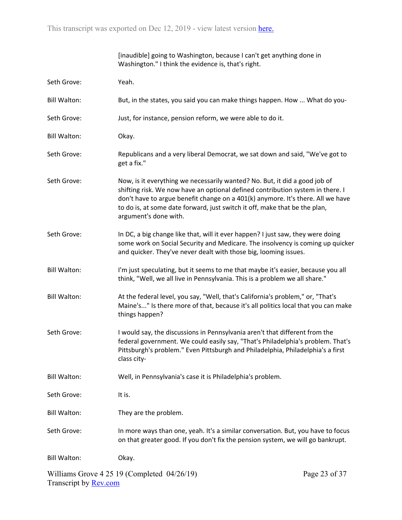|                     | [inaudible] going to Washington, because I can't get anything done in<br>Washington." I think the evidence is, that's right.                                                                                                                                                                                                                           |               |
|---------------------|--------------------------------------------------------------------------------------------------------------------------------------------------------------------------------------------------------------------------------------------------------------------------------------------------------------------------------------------------------|---------------|
| Seth Grove:         | Yeah.                                                                                                                                                                                                                                                                                                                                                  |               |
| <b>Bill Walton:</b> | But, in the states, you said you can make things happen. How  What do you-                                                                                                                                                                                                                                                                             |               |
| Seth Grove:         | Just, for instance, pension reform, we were able to do it.                                                                                                                                                                                                                                                                                             |               |
| <b>Bill Walton:</b> | Okay.                                                                                                                                                                                                                                                                                                                                                  |               |
| Seth Grove:         | Republicans and a very liberal Democrat, we sat down and said, "We've got to<br>get a fix."                                                                                                                                                                                                                                                            |               |
| Seth Grove:         | Now, is it everything we necessarily wanted? No. But, it did a good job of<br>shifting risk. We now have an optional defined contribution system in there. I<br>don't have to argue benefit change on a 401(k) anymore. It's there. All we have<br>to do is, at some date forward, just switch it off, make that be the plan,<br>argument's done with. |               |
| Seth Grove:         | In DC, a big change like that, will it ever happen? I just saw, they were doing<br>some work on Social Security and Medicare. The insolvency is coming up quicker<br>and quicker. They've never dealt with those big, looming issues.                                                                                                                  |               |
| <b>Bill Walton:</b> | I'm just speculating, but it seems to me that maybe it's easier, because you all<br>think, "Well, we all live in Pennsylvania. This is a problem we all share."                                                                                                                                                                                        |               |
| <b>Bill Walton:</b> | At the federal level, you say, "Well, that's California's problem," or, "That's<br>Maine's" Is there more of that, because it's all politics local that you can make<br>things happen?                                                                                                                                                                 |               |
| Seth Grove:         | I would say, the discussions in Pennsylvania aren't that different from the<br>federal government. We could easily say, "That's Philadelphia's problem. That's<br>Pittsburgh's problem." Even Pittsburgh and Philadelphia, Philadelphia's a first<br>class city-                                                                                       |               |
| <b>Bill Walton:</b> | Well, in Pennsylvania's case it is Philadelphia's problem.                                                                                                                                                                                                                                                                                             |               |
| Seth Grove:         | It is.                                                                                                                                                                                                                                                                                                                                                 |               |
| <b>Bill Walton:</b> | They are the problem.                                                                                                                                                                                                                                                                                                                                  |               |
| Seth Grove:         | In more ways than one, yeah. It's a similar conversation. But, you have to focus<br>on that greater good. If you don't fix the pension system, we will go bankrupt.                                                                                                                                                                                    |               |
| <b>Bill Walton:</b> | Okay.                                                                                                                                                                                                                                                                                                                                                  |               |
|                     | Williams Grove $4\,25\,19$ (Completed $04/26/19$ )                                                                                                                                                                                                                                                                                                     | Page 23 of 37 |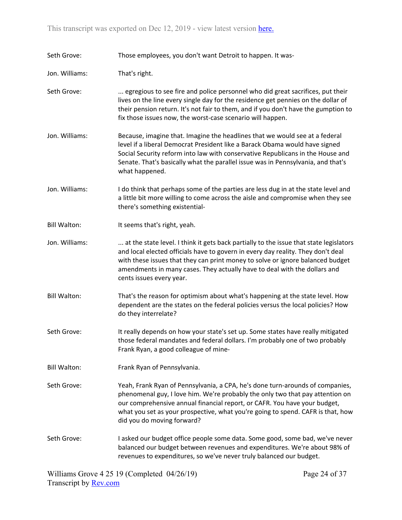Seth Grove: Those employees, you don't want Detroit to happen. It was-

Jon. Williams: That's right.

- Seth Grove: ... egregious to see fire and police personnel who did great sacrifices, put their lives on the line every single day for the residence get pennies on the dollar of their pension return. It's not fair to them, and if you don't have the gumption to fix those issues now, the worst-case scenario will happen.
- Jon. Williams: Because, imagine that. Imagine the headlines that we would see at a federal level if a liberal Democrat President like a Barack Obama would have signed Social Security reform into law with conservative Republicans in the House and Senate. That's basically what the parallel issue was in Pennsylvania, and that's what happened.
- Jon. Williams: I do think that perhaps some of the parties are less dug in at the state level and a little bit more willing to come across the aisle and compromise when they see there's something existential-
- Bill Walton: It seems that's right, yeah.
- Jon. Williams: ... ... at the state level. I think it gets back partially to the issue that state legislators and local elected officials have to govern in every day reality. They don't deal with these issues that they can print money to solve or ignore balanced budget amendments in many cases. They actually have to deal with the dollars and cents issues every year.
- Bill Walton: That's the reason for optimism about what's happening at the state level. How dependent are the states on the federal policies versus the local policies? How do they interrelate?
- Seth Grove: It really depends on how your state's set up. Some states have really mitigated those federal mandates and federal dollars. I'm probably one of two probably Frank Ryan, a good colleague of mine-
- Bill Walton: Frank Ryan of Pennsylvania.
- Seth Grove: Yeah, Frank Ryan of Pennsylvania, a CPA, he's done turn-arounds of companies, phenomenal guy, I love him. We're probably the only two that pay attention on our comprehensive annual financial report, or CAFR. You have your budget, what you set as your prospective, what you're going to spend. CAFR is that, how did you do moving forward?
- Seth Grove: I asked our budget office people some data. Some good, some bad, we've never balanced our budget between revenues and expenditures. We're about 98% of revenues to expenditures, so we've never truly balanced our budget.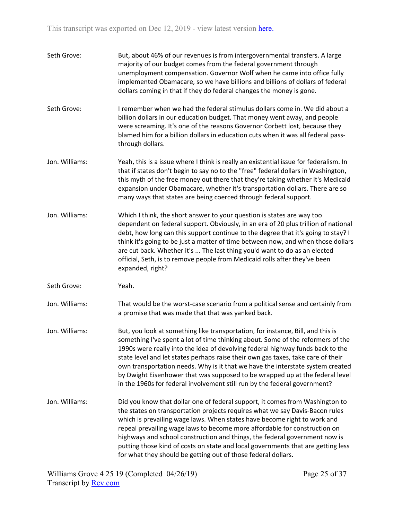| Seth Grove:    | But, about 46% of our revenues is from intergovernmental transfers. A large<br>majority of our budget comes from the federal government through<br>unemployment compensation. Governor Wolf when he came into office fully<br>implemented Obamacare, so we have billions and billions of dollars of federal<br>dollars coming in that if they do federal changes the money is gone.                                                                                                                                                                                                     |
|----------------|-----------------------------------------------------------------------------------------------------------------------------------------------------------------------------------------------------------------------------------------------------------------------------------------------------------------------------------------------------------------------------------------------------------------------------------------------------------------------------------------------------------------------------------------------------------------------------------------|
| Seth Grove:    | I remember when we had the federal stimulus dollars come in. We did about a<br>billion dollars in our education budget. That money went away, and people<br>were screaming. It's one of the reasons Governor Corbett lost, because they<br>blamed him for a billion dollars in education cuts when it was all federal pass-<br>through dollars.                                                                                                                                                                                                                                         |
| Jon. Williams: | Yeah, this is a issue where I think is really an existential issue for federalism. In<br>that if states don't begin to say no to the "free" federal dollars in Washington,<br>this myth of the free money out there that they're taking whether it's Medicaid<br>expansion under Obamacare, whether it's transportation dollars. There are so<br>many ways that states are being coerced through federal support.                                                                                                                                                                       |
| Jon. Williams: | Which I think, the short answer to your question is states are way too<br>dependent on federal support. Obviously, in an era of 20 plus trillion of national<br>debt, how long can this support continue to the degree that it's going to stay? I<br>think it's going to be just a matter of time between now, and when those dollars<br>are cut back. Whether it's  The last thing you'd want to do as an elected<br>official, Seth, is to remove people from Medicaid rolls after they've been<br>expanded, right?                                                                    |
| Seth Grove:    | Yeah.                                                                                                                                                                                                                                                                                                                                                                                                                                                                                                                                                                                   |
| Jon. Williams: | That would be the worst-case scenario from a political sense and certainly from<br>a promise that was made that that was yanked back.                                                                                                                                                                                                                                                                                                                                                                                                                                                   |
| Jon. Williams: | But, you look at something like transportation, for instance, Bill, and this is<br>something I've spent a lot of time thinking about. Some of the reformers of the<br>1990s were really into the idea of devolving federal highway funds back to the<br>state level and let states perhaps raise their own gas taxes, take care of their<br>own transportation needs. Why is it that we have the interstate system created<br>by Dwight Eisenhower that was supposed to be wrapped up at the federal level<br>in the 1960s for federal involvement still run by the federal government? |
| Jon. Williams: | Did you know that dollar one of federal support, it comes from Washington to<br>the states on transportation projects requires what we say Davis-Bacon rules<br>which is prevailing wage laws. When states have become right to work and<br>repeal prevailing wage laws to become more affordable for construction on<br>highways and school construction and things, the federal government now is<br>putting those kind of costs on state and local governments that are getting less<br>for what they should be getting out of those federal dollars.                                |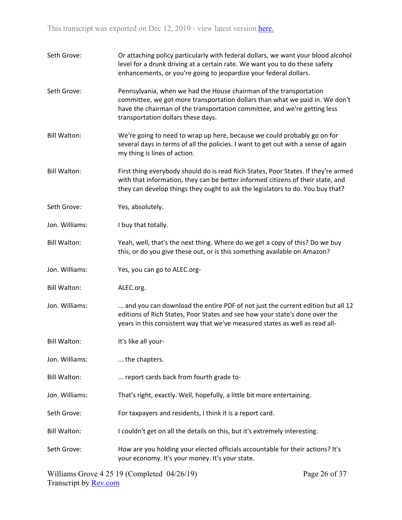| Seth Grove:         | Or attaching policy particularly with federal dollars, we want your blood alcohol<br>level for a drunk driving at a certain rate. We want you to do these safety<br>enhancements, or you're going to jeopardize your federal dollars.                                 |
|---------------------|-----------------------------------------------------------------------------------------------------------------------------------------------------------------------------------------------------------------------------------------------------------------------|
| Seth Grove:         | Pennsylvania, when we had the House chairman of the transportation<br>committee, we got more transportation dollars than what we paid in. We don't<br>have the chairman of the transportation committee, and we're getting less<br>transportation dollars these days. |
| <b>Bill Walton:</b> | We're going to need to wrap up here, because we could probably go on for<br>several days in terms of all the policies. I want to get out with a sense of again<br>my thing is lines of action.                                                                        |
| <b>Bill Walton:</b> | First thing everybody should do is read Rich States, Poor States. If they're armed<br>with that information, they can be better informed citizens of their state, and<br>they can develop things they ought to ask the legislators to do. You buy that?               |
| Seth Grove:         | Yes, absolutely.                                                                                                                                                                                                                                                      |
| Jon. Williams:      | I buy that totally.                                                                                                                                                                                                                                                   |
| <b>Bill Walton:</b> | Yeah, well, that's the next thing. Where do we get a copy of this? Do we buy<br>this, or do you give these out, or is this something available on Amazon?                                                                                                             |
| Jon. Williams:      | Yes, you can go to ALEC.org-                                                                                                                                                                                                                                          |
| <b>Bill Walton:</b> | ALEC.org.                                                                                                                                                                                                                                                             |
| Jon. Williams:      | and you can download the entire PDF of not just the current edition but all 12<br>editions of Rich States, Poor States and see how your state's done over the<br>years in this consistent way that we've measured states as well as read all-                         |
| <b>Bill Walton:</b> | It's like all your-                                                                                                                                                                                                                                                   |
| Jon. Williams:      | the chapters.                                                                                                                                                                                                                                                         |
| <b>Bill Walton:</b> | report cards back from fourth grade to-                                                                                                                                                                                                                               |
| Jon. Williams:      | That's right, exactly. Well, hopefully, a little bit more entertaining.                                                                                                                                                                                               |
| Seth Grove:         | For taxpayers and residents, I think it is a report card.                                                                                                                                                                                                             |
| <b>Bill Walton:</b> | I couldn't get on all the details on this, but it's extremely interesting.                                                                                                                                                                                            |
| Seth Grove:         | How are you holding your elected officials accountable for their actions? It's<br>your economy. It's your money. It's your state.                                                                                                                                     |
|                     |                                                                                                                                                                                                                                                                       |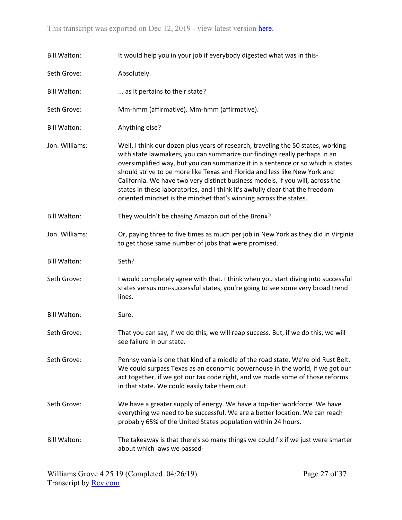| <b>Bill Walton:</b> | It would help you in your job if everybody digested what was in this-                                                                                                                                                                                                                                                                                                                                                                                                                                                                                                    |
|---------------------|--------------------------------------------------------------------------------------------------------------------------------------------------------------------------------------------------------------------------------------------------------------------------------------------------------------------------------------------------------------------------------------------------------------------------------------------------------------------------------------------------------------------------------------------------------------------------|
| Seth Grove:         | Absolutely.                                                                                                                                                                                                                                                                                                                                                                                                                                                                                                                                                              |
| <b>Bill Walton:</b> | as it pertains to their state?                                                                                                                                                                                                                                                                                                                                                                                                                                                                                                                                           |
| Seth Grove:         | Mm-hmm (affirmative). Mm-hmm (affirmative).                                                                                                                                                                                                                                                                                                                                                                                                                                                                                                                              |
| <b>Bill Walton:</b> | Anything else?                                                                                                                                                                                                                                                                                                                                                                                                                                                                                                                                                           |
| Jon. Williams:      | Well, I think our dozen plus years of research, traveling the 50 states, working<br>with state lawmakers, you can summarize our findings really perhaps in an<br>oversimplified way, but you can summarize it in a sentence or so which is states<br>should strive to be more like Texas and Florida and less like New York and<br>California. We have two very distinct business models, if you will, across the<br>states in these laboratories, and I think it's awfully clear that the freedom-<br>oriented mindset is the mindset that's winning across the states. |
| <b>Bill Walton:</b> | They wouldn't be chasing Amazon out of the Bronx?                                                                                                                                                                                                                                                                                                                                                                                                                                                                                                                        |
| Jon. Williams:      | Or, paying three to five times as much per job in New York as they did in Virginia<br>to get those same number of jobs that were promised.                                                                                                                                                                                                                                                                                                                                                                                                                               |
|                     |                                                                                                                                                                                                                                                                                                                                                                                                                                                                                                                                                                          |
| <b>Bill Walton:</b> | Seth?                                                                                                                                                                                                                                                                                                                                                                                                                                                                                                                                                                    |
| Seth Grove:         | I would completely agree with that. I think when you start diving into successful<br>states versus non-successful states, you're going to see some very broad trend<br>lines.                                                                                                                                                                                                                                                                                                                                                                                            |
| <b>Bill Walton:</b> | Sure.                                                                                                                                                                                                                                                                                                                                                                                                                                                                                                                                                                    |
| Seth Grove:         | That you can say, if we do this, we will reap success. But, if we do this, we will<br>see failure in our state.                                                                                                                                                                                                                                                                                                                                                                                                                                                          |
| Seth Grove:         | Pennsylvania is one that kind of a middle of the road state. We're old Rust Belt.<br>We could surpass Texas as an economic powerhouse in the world, if we got our<br>act together, if we got our tax code right, and we made some of those reforms<br>in that state. We could easily take them out.                                                                                                                                                                                                                                                                      |
| Seth Grove:         | We have a greater supply of energy. We have a top-tier workforce. We have<br>everything we need to be successful. We are a better location. We can reach<br>probably 65% of the United States population within 24 hours.                                                                                                                                                                                                                                                                                                                                                |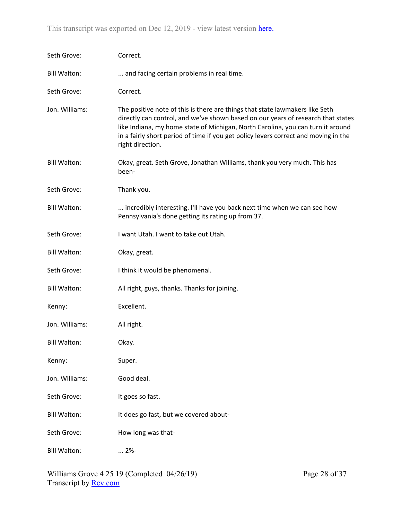| Seth Grove:         | Correct.                                                                                                                                                                                                                                                                                                                                                       |
|---------------------|----------------------------------------------------------------------------------------------------------------------------------------------------------------------------------------------------------------------------------------------------------------------------------------------------------------------------------------------------------------|
| <b>Bill Walton:</b> | and facing certain problems in real time.                                                                                                                                                                                                                                                                                                                      |
| Seth Grove:         | Correct.                                                                                                                                                                                                                                                                                                                                                       |
| Jon. Williams:      | The positive note of this is there are things that state lawmakers like Seth<br>directly can control, and we've shown based on our years of research that states<br>like Indiana, my home state of Michigan, North Carolina, you can turn it around<br>in a fairly short period of time if you get policy levers correct and moving in the<br>right direction. |
| <b>Bill Walton:</b> | Okay, great. Seth Grove, Jonathan Williams, thank you very much. This has<br>been-                                                                                                                                                                                                                                                                             |
| Seth Grove:         | Thank you.                                                                                                                                                                                                                                                                                                                                                     |
| <b>Bill Walton:</b> | incredibly interesting. I'll have you back next time when we can see how<br>Pennsylvania's done getting its rating up from 37.                                                                                                                                                                                                                                 |
| Seth Grove:         | I want Utah. I want to take out Utah.                                                                                                                                                                                                                                                                                                                          |
| <b>Bill Walton:</b> | Okay, great.                                                                                                                                                                                                                                                                                                                                                   |
| Seth Grove:         | I think it would be phenomenal.                                                                                                                                                                                                                                                                                                                                |
| <b>Bill Walton:</b> | All right, guys, thanks. Thanks for joining.                                                                                                                                                                                                                                                                                                                   |
| Kenny:              | Excellent.                                                                                                                                                                                                                                                                                                                                                     |
| Jon. Williams:      | All right.                                                                                                                                                                                                                                                                                                                                                     |
| <b>Bill Walton:</b> | Okay.                                                                                                                                                                                                                                                                                                                                                          |
| Kenny:              | Super.                                                                                                                                                                                                                                                                                                                                                         |
| Jon. Williams:      | Good deal.                                                                                                                                                                                                                                                                                                                                                     |
| Seth Grove:         | It goes so fast.                                                                                                                                                                                                                                                                                                                                               |
| <b>Bill Walton:</b> | It does go fast, but we covered about-                                                                                                                                                                                                                                                                                                                         |
| Seth Grove:         | How long was that-                                                                                                                                                                                                                                                                                                                                             |
| <b>Bill Walton:</b> | $ 2%$ -                                                                                                                                                                                                                                                                                                                                                        |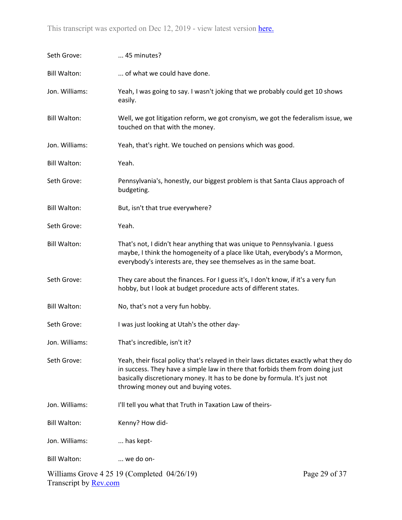| Seth Grove:         | 45 minutes?                                                                                                                                                                                                                                                                                 |               |  |
|---------------------|---------------------------------------------------------------------------------------------------------------------------------------------------------------------------------------------------------------------------------------------------------------------------------------------|---------------|--|
| <b>Bill Walton:</b> | of what we could have done.                                                                                                                                                                                                                                                                 |               |  |
| Jon. Williams:      | Yeah, I was going to say. I wasn't joking that we probably could get 10 shows<br>easily.                                                                                                                                                                                                    |               |  |
| <b>Bill Walton:</b> | Well, we got litigation reform, we got cronyism, we got the federalism issue, we<br>touched on that with the money.                                                                                                                                                                         |               |  |
| Jon. Williams:      | Yeah, that's right. We touched on pensions which was good.                                                                                                                                                                                                                                  |               |  |
| <b>Bill Walton:</b> | Yeah.                                                                                                                                                                                                                                                                                       |               |  |
| Seth Grove:         | Pennsylvania's, honestly, our biggest problem is that Santa Claus approach of<br>budgeting.                                                                                                                                                                                                 |               |  |
| <b>Bill Walton:</b> | But, isn't that true everywhere?                                                                                                                                                                                                                                                            |               |  |
| Seth Grove:         | Yeah.                                                                                                                                                                                                                                                                                       |               |  |
| <b>Bill Walton:</b> | That's not, I didn't hear anything that was unique to Pennsylvania. I guess<br>maybe, I think the homogeneity of a place like Utah, everybody's a Mormon,<br>everybody's interests are, they see themselves as in the same boat.                                                            |               |  |
| Seth Grove:         | They care about the finances. For I guess it's, I don't know, if it's a very fun<br>hobby, but I look at budget procedure acts of different states.                                                                                                                                         |               |  |
| <b>Bill Walton:</b> | No, that's not a very fun hobby.                                                                                                                                                                                                                                                            |               |  |
| Seth Grove:         | I was just looking at Utah's the other day-                                                                                                                                                                                                                                                 |               |  |
| Jon. Williams:      | That's incredible, isn't it?                                                                                                                                                                                                                                                                |               |  |
| Seth Grove:         | Yeah, their fiscal policy that's relayed in their laws dictates exactly what they do<br>in success. They have a simple law in there that forbids them from doing just<br>basically discretionary money. It has to be done by formula. It's just not<br>throwing money out and buying votes. |               |  |
| Jon. Williams:      | I'll tell you what that Truth in Taxation Law of theirs-                                                                                                                                                                                                                                    |               |  |
| <b>Bill Walton:</b> | Kenny? How did-                                                                                                                                                                                                                                                                             |               |  |
| Jon. Williams:      | has kept-                                                                                                                                                                                                                                                                                   |               |  |
| <b>Bill Walton:</b> | we do on-                                                                                                                                                                                                                                                                                   |               |  |
|                     | Williams Grove $4\,25\,19$ (Completed $04/26/19$ )                                                                                                                                                                                                                                          | Page 29 of 37 |  |

Transcript by **Rev.com**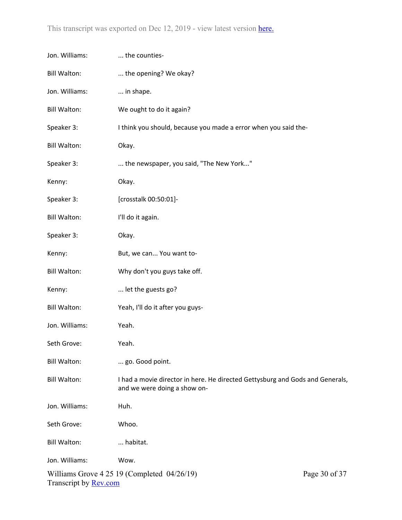| Jon. Williams:                                                                                      | the counties-                                                                                                 |  |
|-----------------------------------------------------------------------------------------------------|---------------------------------------------------------------------------------------------------------------|--|
| <b>Bill Walton:</b>                                                                                 | the opening? We okay?                                                                                         |  |
| Jon. Williams:                                                                                      | in shape.                                                                                                     |  |
| <b>Bill Walton:</b>                                                                                 | We ought to do it again?                                                                                      |  |
| Speaker 3:                                                                                          | I think you should, because you made a error when you said the-                                               |  |
| <b>Bill Walton:</b>                                                                                 | Okay.                                                                                                         |  |
| Speaker 3:                                                                                          | the newspaper, you said, "The New York"                                                                       |  |
| Kenny:                                                                                              | Okay.                                                                                                         |  |
| Speaker 3:                                                                                          | [crosstalk 00:50:01]-                                                                                         |  |
| <b>Bill Walton:</b>                                                                                 | I'll do it again.                                                                                             |  |
| Speaker 3:                                                                                          | Okay.                                                                                                         |  |
| Kenny:                                                                                              | But, we can You want to-                                                                                      |  |
| <b>Bill Walton:</b>                                                                                 | Why don't you guys take off.                                                                                  |  |
| Kenny:                                                                                              | let the guests go?                                                                                            |  |
| <b>Bill Walton:</b>                                                                                 | Yeah, I'll do it after you guys-                                                                              |  |
| Jon. Williams:                                                                                      | Yeah.                                                                                                         |  |
| Seth Grove:                                                                                         | Yeah.                                                                                                         |  |
| <b>Bill Walton:</b>                                                                                 | go. Good point.                                                                                               |  |
| <b>Bill Walton:</b>                                                                                 | I had a movie director in here. He directed Gettysburg and Gods and Generals,<br>and we were doing a show on- |  |
| Jon. Williams:                                                                                      | Huh.                                                                                                          |  |
| Seth Grove:                                                                                         | Whoo.                                                                                                         |  |
| <b>Bill Walton:</b>                                                                                 | habitat.                                                                                                      |  |
| Jon. Williams:                                                                                      | Wow.                                                                                                          |  |
| Williams Grove $4\,25\,19$ (Completed $04/26/19$ )<br>Page 30 of 37<br>Transcript by <b>Rev.com</b> |                                                                                                               |  |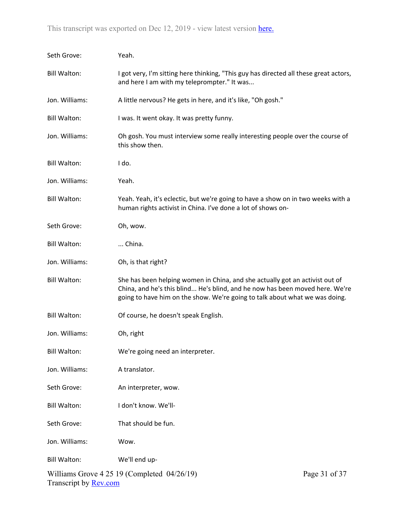| Seth Grove:                                                                                         | Yeah.                                                                                                                                                                                                                                       |  |
|-----------------------------------------------------------------------------------------------------|---------------------------------------------------------------------------------------------------------------------------------------------------------------------------------------------------------------------------------------------|--|
| <b>Bill Walton:</b>                                                                                 | I got very, I'm sitting here thinking, "This guy has directed all these great actors,<br>and here I am with my teleprompter." It was                                                                                                        |  |
| Jon. Williams:                                                                                      | A little nervous? He gets in here, and it's like, "Oh gosh."                                                                                                                                                                                |  |
| <b>Bill Walton:</b>                                                                                 | I was. It went okay. It was pretty funny.                                                                                                                                                                                                   |  |
| Jon. Williams:                                                                                      | Oh gosh. You must interview some really interesting people over the course of<br>this show then.                                                                                                                                            |  |
| <b>Bill Walton:</b>                                                                                 | I do.                                                                                                                                                                                                                                       |  |
| Jon. Williams:                                                                                      | Yeah.                                                                                                                                                                                                                                       |  |
| <b>Bill Walton:</b>                                                                                 | Yeah. Yeah, it's eclectic, but we're going to have a show on in two weeks with a<br>human rights activist in China. I've done a lot of shows on-                                                                                            |  |
| Seth Grove:                                                                                         | Oh, wow.                                                                                                                                                                                                                                    |  |
| <b>Bill Walton:</b>                                                                                 | China.                                                                                                                                                                                                                                      |  |
| Jon. Williams:                                                                                      | Oh, is that right?                                                                                                                                                                                                                          |  |
| <b>Bill Walton:</b>                                                                                 | She has been helping women in China, and she actually got an activist out of<br>China, and he's this blind He's blind, and he now has been moved here. We're<br>going to have him on the show. We're going to talk about what we was doing. |  |
| <b>Bill Walton:</b>                                                                                 | Of course, he doesn't speak English.                                                                                                                                                                                                        |  |
| Jon. Williams:                                                                                      | Oh, right                                                                                                                                                                                                                                   |  |
| <b>Bill Walton:</b>                                                                                 | We're going need an interpreter.                                                                                                                                                                                                            |  |
| Jon. Williams:                                                                                      | A translator.                                                                                                                                                                                                                               |  |
| Seth Grove:                                                                                         | An interpreter, wow.                                                                                                                                                                                                                        |  |
| <b>Bill Walton:</b>                                                                                 | I don't know. We'll-                                                                                                                                                                                                                        |  |
| Seth Grove:                                                                                         | That should be fun.                                                                                                                                                                                                                         |  |
| Jon. Williams:                                                                                      | Wow.                                                                                                                                                                                                                                        |  |
| <b>Bill Walton:</b>                                                                                 | We'll end up-                                                                                                                                                                                                                               |  |
| Page 31 of 37<br>Williams Grove $4\,25\,19$ (Completed $04/26/19$ )<br>Transcript by <b>Rev.com</b> |                                                                                                                                                                                                                                             |  |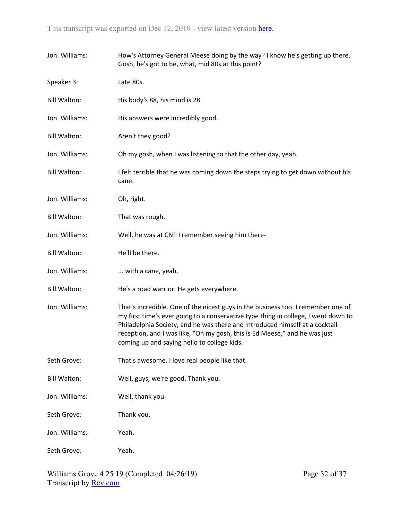| Jon. Williams:      | How's Attorney General Meese doing by the way? I know he's getting up there.<br>Gosh, he's got to be, what, mid 80s at this point?                                                                                                                                                                                                                                                 |
|---------------------|------------------------------------------------------------------------------------------------------------------------------------------------------------------------------------------------------------------------------------------------------------------------------------------------------------------------------------------------------------------------------------|
| Speaker 3:          | Late 80s.                                                                                                                                                                                                                                                                                                                                                                          |
| <b>Bill Walton:</b> | His body's 88, his mind is 28.                                                                                                                                                                                                                                                                                                                                                     |
| Jon. Williams:      | His answers were incredibly good.                                                                                                                                                                                                                                                                                                                                                  |
| <b>Bill Walton:</b> | Aren't they good?                                                                                                                                                                                                                                                                                                                                                                  |
| Jon. Williams:      | Oh my gosh, when I was listening to that the other day, yeah.                                                                                                                                                                                                                                                                                                                      |
| <b>Bill Walton:</b> | I felt terrible that he was coming down the steps trying to get down without his<br>cane.                                                                                                                                                                                                                                                                                          |
| Jon. Williams:      | Oh, right.                                                                                                                                                                                                                                                                                                                                                                         |
| <b>Bill Walton:</b> | That was rough.                                                                                                                                                                                                                                                                                                                                                                    |
| Jon. Williams:      | Well, he was at CNP I remember seeing him there-                                                                                                                                                                                                                                                                                                                                   |
| <b>Bill Walton:</b> | He'll be there.                                                                                                                                                                                                                                                                                                                                                                    |
| Jon. Williams:      | with a cane, yeah.                                                                                                                                                                                                                                                                                                                                                                 |
| <b>Bill Walton:</b> | He's a road warrior. He gets everywhere.                                                                                                                                                                                                                                                                                                                                           |
| Jon. Williams:      | That's incredible. One of the nicest guys in the business too. I remember one of<br>my first time's ever going to a conservative type thing in college, I went down to<br>Philadelphia Society, and he was there and introduced himself at a cocktail<br>reception, and I was like, "Oh my gosh, this is Ed Meese," and he was just<br>coming up and saying hello to college kids. |
| Seth Grove:         | That's awesome. I love real people like that.                                                                                                                                                                                                                                                                                                                                      |
| <b>Bill Walton:</b> | Well, guys, we're good. Thank you.                                                                                                                                                                                                                                                                                                                                                 |
| Jon. Williams:      | Well, thank you.                                                                                                                                                                                                                                                                                                                                                                   |
| Seth Grove:         | Thank you.                                                                                                                                                                                                                                                                                                                                                                         |
| Jon. Williams:      | Yeah.                                                                                                                                                                                                                                                                                                                                                                              |
| Seth Grove:         | Yeah.                                                                                                                                                                                                                                                                                                                                                                              |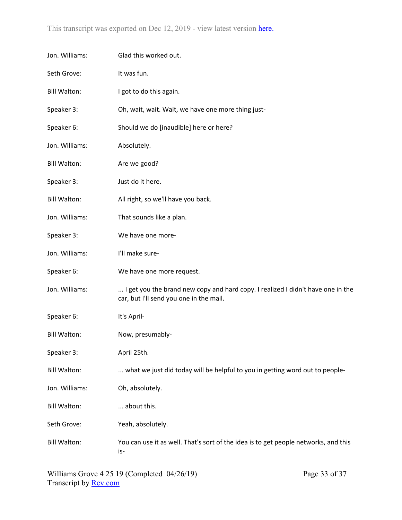| Jon. Williams:      | Glad this worked out.                                                                                                      |
|---------------------|----------------------------------------------------------------------------------------------------------------------------|
| Seth Grove:         | It was fun.                                                                                                                |
| <b>Bill Walton:</b> | I got to do this again.                                                                                                    |
| Speaker 3:          | Oh, wait, wait. Wait, we have one more thing just-                                                                         |
| Speaker 6:          | Should we do [inaudible] here or here?                                                                                     |
| Jon. Williams:      | Absolutely.                                                                                                                |
| <b>Bill Walton:</b> | Are we good?                                                                                                               |
| Speaker 3:          | Just do it here.                                                                                                           |
| <b>Bill Walton:</b> | All right, so we'll have you back.                                                                                         |
| Jon. Williams:      | That sounds like a plan.                                                                                                   |
| Speaker 3:          | We have one more-                                                                                                          |
| Jon. Williams:      | I'll make sure-                                                                                                            |
| Speaker 6:          | We have one more request.                                                                                                  |
| Jon. Williams:      | I get you the brand new copy and hard copy. I realized I didn't have one in the<br>car, but I'll send you one in the mail. |
| Speaker 6:          | It's April-                                                                                                                |
| <b>Bill Walton:</b> | Now, presumably-                                                                                                           |
| Speaker 3:          | April 25th.                                                                                                                |
| <b>Bill Walton:</b> | what we just did today will be helpful to you in getting word out to people-                                               |
| Jon. Williams:      | Oh, absolutely.                                                                                                            |
| <b>Bill Walton:</b> | about this.                                                                                                                |
| Seth Grove:         | Yeah, absolutely.                                                                                                          |
| <b>Bill Walton:</b> | You can use it as well. That's sort of the idea is to get people networks, and this<br>is-                                 |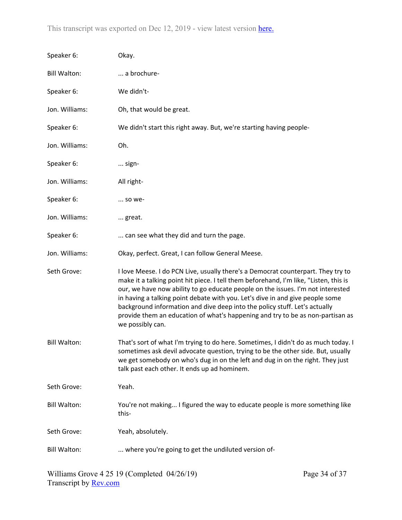| Speaker 6:          | Okay.                                                                                                                                                                                                                                                                                                                                                                                                                                                                                                                             |
|---------------------|-----------------------------------------------------------------------------------------------------------------------------------------------------------------------------------------------------------------------------------------------------------------------------------------------------------------------------------------------------------------------------------------------------------------------------------------------------------------------------------------------------------------------------------|
| <b>Bill Walton:</b> | a brochure-                                                                                                                                                                                                                                                                                                                                                                                                                                                                                                                       |
| Speaker 6:          | We didn't-                                                                                                                                                                                                                                                                                                                                                                                                                                                                                                                        |
| Jon. Williams:      | Oh, that would be great.                                                                                                                                                                                                                                                                                                                                                                                                                                                                                                          |
| Speaker 6:          | We didn't start this right away. But, we're starting having people-                                                                                                                                                                                                                                                                                                                                                                                                                                                               |
| Jon. Williams:      | Oh.                                                                                                                                                                                                                                                                                                                                                                                                                                                                                                                               |
| Speaker 6:          | sign-                                                                                                                                                                                                                                                                                                                                                                                                                                                                                                                             |
| Jon. Williams:      | All right-                                                                                                                                                                                                                                                                                                                                                                                                                                                                                                                        |
| Speaker 6:          | so we-                                                                                                                                                                                                                                                                                                                                                                                                                                                                                                                            |
| Jon. Williams:      | great.                                                                                                                                                                                                                                                                                                                                                                                                                                                                                                                            |
| Speaker 6:          | can see what they did and turn the page.                                                                                                                                                                                                                                                                                                                                                                                                                                                                                          |
| Jon. Williams:      | Okay, perfect. Great, I can follow General Meese.                                                                                                                                                                                                                                                                                                                                                                                                                                                                                 |
| Seth Grove:         | I love Meese. I do PCN Live, usually there's a Democrat counterpart. They try to<br>make it a talking point hit piece. I tell them beforehand, I'm like, "Listen, this is<br>our, we have now ability to go educate people on the issues. I'm not interested<br>in having a talking point debate with you. Let's dive in and give people some<br>background information and dive deep into the policy stuff. Let's actually<br>provide them an education of what's happening and try to be as non-partisan as<br>we possibly can. |
| <b>Bill Walton:</b> | That's sort of what I'm trying to do here. Sometimes, I didn't do as much today. I<br>sometimes ask devil advocate question, trying to be the other side. But, usually<br>we get somebody on who's dug in on the left and dug in on the right. They just<br>talk past each other. It ends up ad hominem.                                                                                                                                                                                                                          |
| Seth Grove:         | Yeah.                                                                                                                                                                                                                                                                                                                                                                                                                                                                                                                             |
| <b>Bill Walton:</b> | You're not making I figured the way to educate people is more something like<br>this-                                                                                                                                                                                                                                                                                                                                                                                                                                             |
| Seth Grove:         | Yeah, absolutely.                                                                                                                                                                                                                                                                                                                                                                                                                                                                                                                 |
| <b>Bill Walton:</b> | where you're going to get the undiluted version of-                                                                                                                                                                                                                                                                                                                                                                                                                                                                               |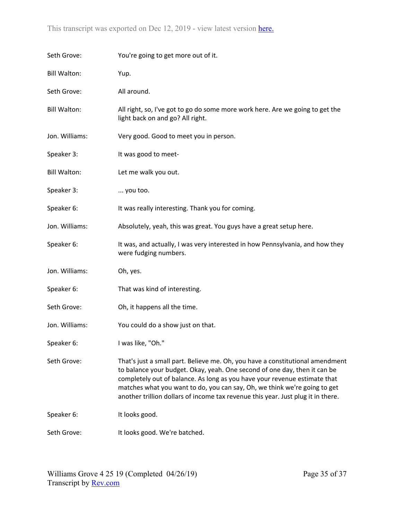| Seth Grove:         | You're going to get more out of it.                                                                                                                                                                                                                                                                                                                                                                      |
|---------------------|----------------------------------------------------------------------------------------------------------------------------------------------------------------------------------------------------------------------------------------------------------------------------------------------------------------------------------------------------------------------------------------------------------|
| <b>Bill Walton:</b> | Yup.                                                                                                                                                                                                                                                                                                                                                                                                     |
| Seth Grove:         | All around.                                                                                                                                                                                                                                                                                                                                                                                              |
| <b>Bill Walton:</b> | All right, so, I've got to go do some more work here. Are we going to get the<br>light back on and go? All right.                                                                                                                                                                                                                                                                                        |
| Jon. Williams:      | Very good. Good to meet you in person.                                                                                                                                                                                                                                                                                                                                                                   |
| Speaker 3:          | It was good to meet-                                                                                                                                                                                                                                                                                                                                                                                     |
| <b>Bill Walton:</b> | Let me walk you out.                                                                                                                                                                                                                                                                                                                                                                                     |
| Speaker 3:          | you too.                                                                                                                                                                                                                                                                                                                                                                                                 |
| Speaker 6:          | It was really interesting. Thank you for coming.                                                                                                                                                                                                                                                                                                                                                         |
| Jon. Williams:      | Absolutely, yeah, this was great. You guys have a great setup here.                                                                                                                                                                                                                                                                                                                                      |
| Speaker 6:          | It was, and actually, I was very interested in how Pennsylvania, and how they<br>were fudging numbers.                                                                                                                                                                                                                                                                                                   |
| Jon. Williams:      | Oh, yes.                                                                                                                                                                                                                                                                                                                                                                                                 |
| Speaker 6:          | That was kind of interesting.                                                                                                                                                                                                                                                                                                                                                                            |
| Seth Grove:         | Oh, it happens all the time.                                                                                                                                                                                                                                                                                                                                                                             |
| Jon. Williams:      | You could do a show just on that.                                                                                                                                                                                                                                                                                                                                                                        |
| Speaker 6:          | I was like, "Oh."                                                                                                                                                                                                                                                                                                                                                                                        |
| Seth Grove:         | That's just a small part. Believe me. Oh, you have a constitutional amendment<br>to balance your budget. Okay, yeah. One second of one day, then it can be<br>completely out of balance. As long as you have your revenue estimate that<br>matches what you want to do, you can say, Oh, we think we're going to get<br>another trillion dollars of income tax revenue this year. Just plug it in there. |
| Speaker 6:          | It looks good.                                                                                                                                                                                                                                                                                                                                                                                           |
| Seth Grove:         | It looks good. We're batched.                                                                                                                                                                                                                                                                                                                                                                            |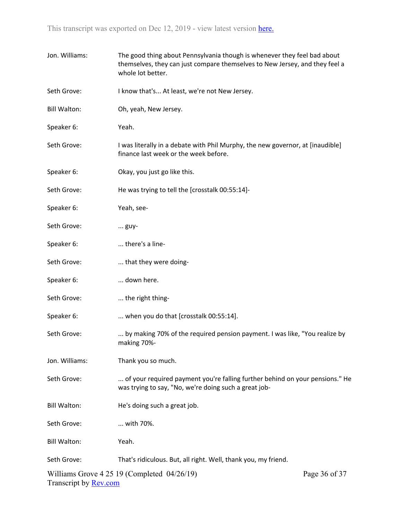| Jon. Williams:               | The good thing about Pennsylvania though is whenever they feel bad about<br>themselves, they can just compare themselves to New Jersey, and they feel a<br>whole lot better. |               |
|------------------------------|------------------------------------------------------------------------------------------------------------------------------------------------------------------------------|---------------|
| Seth Grove:                  | I know that's At least, we're not New Jersey.                                                                                                                                |               |
| <b>Bill Walton:</b>          | Oh, yeah, New Jersey.                                                                                                                                                        |               |
| Speaker 6:                   | Yeah.                                                                                                                                                                        |               |
| Seth Grove:                  | I was literally in a debate with Phil Murphy, the new governor, at [inaudible]<br>finance last week or the week before.                                                      |               |
| Speaker 6:                   | Okay, you just go like this.                                                                                                                                                 |               |
| Seth Grove:                  | He was trying to tell the [crosstalk 00:55:14]-                                                                                                                              |               |
| Speaker 6:                   | Yeah, see-                                                                                                                                                                   |               |
| Seth Grove:                  | guy-                                                                                                                                                                         |               |
| Speaker 6:                   | there's a line-                                                                                                                                                              |               |
| Seth Grove:                  | that they were doing-                                                                                                                                                        |               |
| Speaker 6:                   | down here.                                                                                                                                                                   |               |
| Seth Grove:                  | the right thing-                                                                                                                                                             |               |
| Speaker 6:                   | when you do that [crosstalk 00:55:14].                                                                                                                                       |               |
| Seth Grove:                  | by making 70% of the required pension payment. I was like, "You realize by<br>making 70%-                                                                                    |               |
| Jon. Williams:               | Thank you so much.                                                                                                                                                           |               |
| Seth Grove:                  | of your required payment you're falling further behind on your pensions." He<br>was trying to say, "No, we're doing such a great job-                                        |               |
| <b>Bill Walton:</b>          | He's doing such a great job.                                                                                                                                                 |               |
| Seth Grove:                  | with 70%.                                                                                                                                                                    |               |
| <b>Bill Walton:</b>          | Yeah.                                                                                                                                                                        |               |
| Seth Grove:                  | That's ridiculous. But, all right. Well, thank you, my friend.                                                                                                               |               |
| Transcript by <b>Rev.com</b> | Williams Grove $4\,25\,19$ (Completed $04/26/19$ )                                                                                                                           | Page 36 of 37 |